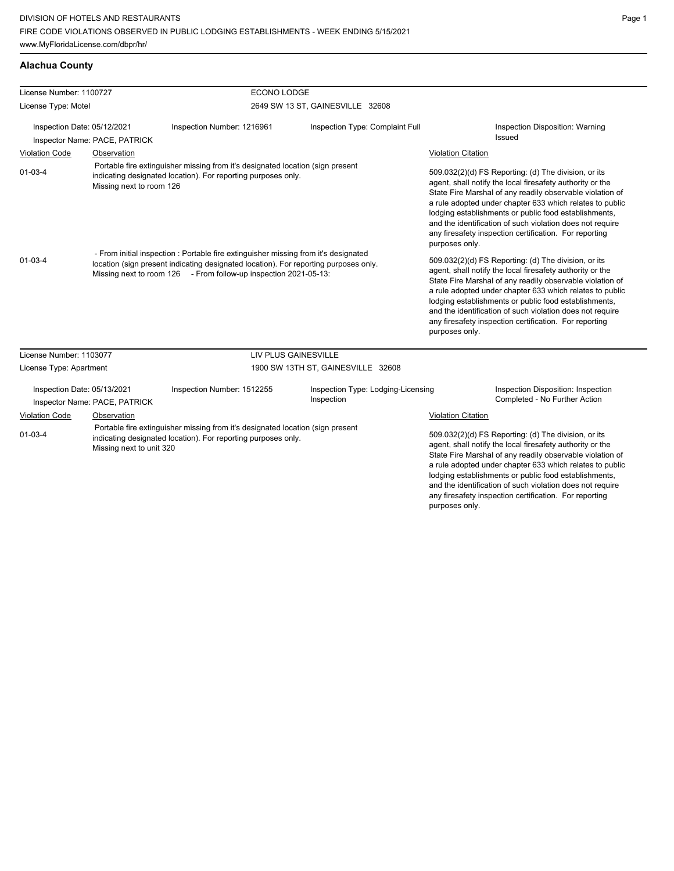## **Alachua County**

| License Number: 1100727                                                                                                                                                                      |                               |                                                                                                                                                                                                                                                 | ECONO LODGE                                      |                                                                                                                                                                                                                                                                                                                                                                                                                                              |  |  |
|----------------------------------------------------------------------------------------------------------------------------------------------------------------------------------------------|-------------------------------|-------------------------------------------------------------------------------------------------------------------------------------------------------------------------------------------------------------------------------------------------|--------------------------------------------------|----------------------------------------------------------------------------------------------------------------------------------------------------------------------------------------------------------------------------------------------------------------------------------------------------------------------------------------------------------------------------------------------------------------------------------------------|--|--|
| License Type: Motel                                                                                                                                                                          |                               |                                                                                                                                                                                                                                                 | 2649 SW 13 ST, GAINESVILLE 32608                 |                                                                                                                                                                                                                                                                                                                                                                                                                                              |  |  |
| Inspection Date: 05/12/2021                                                                                                                                                                  | Inspector Name: PACE, PATRICK | Inspection Number: 1216961                                                                                                                                                                                                                      | Inspection Type: Complaint Full                  | Inspection Disposition: Warning<br>Issued                                                                                                                                                                                                                                                                                                                                                                                                    |  |  |
| <b>Violation Code</b>                                                                                                                                                                        | Observation                   |                                                                                                                                                                                                                                                 |                                                  | <b>Violation Citation</b>                                                                                                                                                                                                                                                                                                                                                                                                                    |  |  |
| Portable fire extinguisher missing from it's designated location (sign present<br>$01 - 03 - 4$<br>indicating designated location). For reporting purposes only.<br>Missing next to room 126 |                               |                                                                                                                                                                                                                                                 |                                                  | 509.032(2)(d) FS Reporting: (d) The division, or its<br>agent, shall notify the local firesafety authority or the<br>State Fire Marshal of any readily observable violation of<br>a rule adopted under chapter 633 which relates to public<br>lodging establishments or public food establishments,<br>and the identification of such violation does not require<br>any firesafety inspection certification. For reporting<br>purposes only. |  |  |
| $01 - 03 - 4$                                                                                                                                                                                |                               | - From initial inspection : Portable fire extinguisher missing from it's designated<br>location (sign present indicating designated location). For reporting purposes only.<br>Missing next to room 126 - From follow-up inspection 2021-05-13: |                                                  | 509.032(2)(d) FS Reporting: (d) The division, or its<br>agent, shall notify the local firesafety authority or the<br>State Fire Marshal of any readily observable violation of<br>a rule adopted under chapter 633 which relates to public<br>lodging establishments or public food establishments,<br>and the identification of such violation does not require<br>any firesafety inspection certification. For reporting<br>purposes only. |  |  |
| License Number: 1103077                                                                                                                                                                      |                               | <b>LIV PLUS GAINESVILLE</b>                                                                                                                                                                                                                     |                                                  |                                                                                                                                                                                                                                                                                                                                                                                                                                              |  |  |
| License Type: Apartment                                                                                                                                                                      |                               |                                                                                                                                                                                                                                                 | 1900 SW 13TH ST, GAINESVILLE 32608               |                                                                                                                                                                                                                                                                                                                                                                                                                                              |  |  |
| Inspection Date: 05/13/2021<br>Inspector Name: PACE, PATRICK                                                                                                                                 |                               | Inspection Number: 1512255                                                                                                                                                                                                                      | Inspection Type: Lodging-Licensing<br>Inspection | Inspection Disposition: Inspection<br>Completed - No Further Action                                                                                                                                                                                                                                                                                                                                                                          |  |  |
| <b>Violation Code</b>                                                                                                                                                                        | Observation                   |                                                                                                                                                                                                                                                 |                                                  | <b>Violation Citation</b>                                                                                                                                                                                                                                                                                                                                                                                                                    |  |  |
| Portable fire extinguisher missing from it's designated location (sign present<br>$01 - 03 - 4$<br>indicating designated location). For reporting purposes only.<br>Missing next to unit 320 |                               |                                                                                                                                                                                                                                                 |                                                  | 509.032(2)(d) FS Reporting: (d) The division, or its<br>agent, shall notify the local firesafety authority or the<br>State Fire Marshal of any readily observable violation of<br>a rule adopted under chapter 633 which relates to public<br>lodging establishments or public food establishments,<br>and the identification of such violation does not require<br>any firesafety inspection certification. For reporting                   |  |  |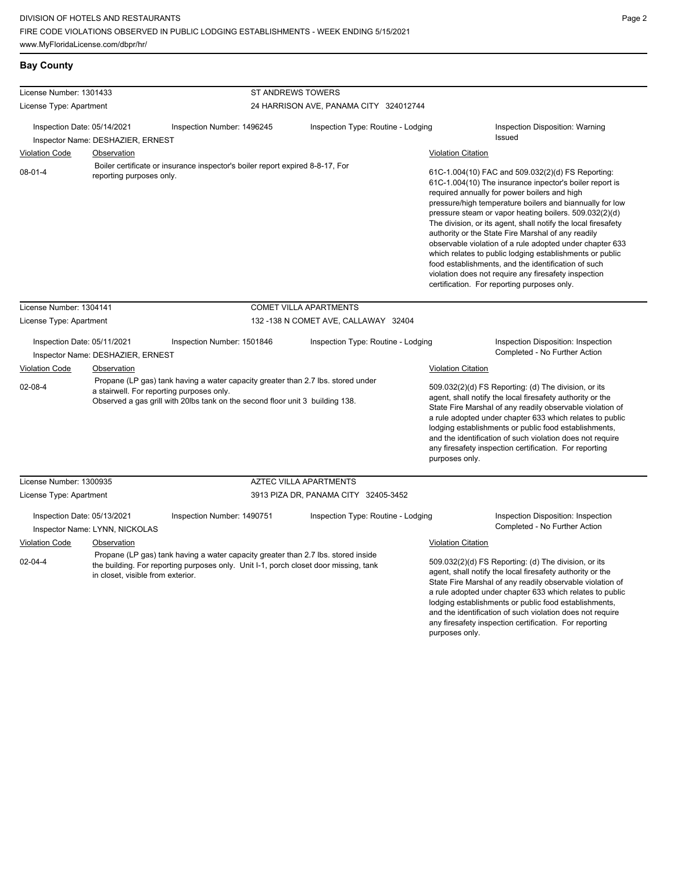## **Bay County**

| License Number: 1301433                                                                                  |                                   | <b>ST ANDREWS TOWERS</b>                                                                                                                                                                                       |                                        |                           |                                                                                                                                                                                                                                                                                                                                                                                                                                                                                                                                                                                                                                                                                                 |
|----------------------------------------------------------------------------------------------------------|-----------------------------------|----------------------------------------------------------------------------------------------------------------------------------------------------------------------------------------------------------------|----------------------------------------|---------------------------|-------------------------------------------------------------------------------------------------------------------------------------------------------------------------------------------------------------------------------------------------------------------------------------------------------------------------------------------------------------------------------------------------------------------------------------------------------------------------------------------------------------------------------------------------------------------------------------------------------------------------------------------------------------------------------------------------|
| License Type: Apartment                                                                                  |                                   |                                                                                                                                                                                                                | 24 HARRISON AVE, PANAMA CITY 324012744 |                           |                                                                                                                                                                                                                                                                                                                                                                                                                                                                                                                                                                                                                                                                                                 |
| Inspection Date: 05/14/2021<br>Inspector Name: DESHAZIER, ERNEST<br><b>Violation Code</b><br>Observation |                                   | Inspection Number: 1496245                                                                                                                                                                                     | Inspection Type: Routine - Lodging     |                           | Inspection Disposition: Warning<br><b>Issued</b><br><b>Violation Citation</b>                                                                                                                                                                                                                                                                                                                                                                                                                                                                                                                                                                                                                   |
| $08 - 01 - 4$                                                                                            | reporting purposes only.          | Boiler certificate or insurance inspector's boiler report expired 8-8-17, For                                                                                                                                  |                                        |                           | 61C-1.004(10) FAC and 509.032(2)(d) FS Reporting:<br>61C-1.004(10) The insurance inpector's boiler report is<br>required annually for power boilers and high<br>pressure/high temperature boilers and biannually for low<br>pressure steam or vapor heating boilers. 509.032(2)(d)<br>The division, or its agent, shall notify the local firesafety<br>authority or the State Fire Marshal of any readily<br>observable violation of a rule adopted under chapter 633<br>which relates to public lodging establishments or public<br>food establishments, and the identification of such<br>violation does not require any firesafety inspection<br>certification. For reporting purposes only. |
| License Number: 1304141                                                                                  |                                   |                                                                                                                                                                                                                | <b>COMET VILLA APARTMENTS</b>          |                           |                                                                                                                                                                                                                                                                                                                                                                                                                                                                                                                                                                                                                                                                                                 |
| License Type: Apartment                                                                                  |                                   |                                                                                                                                                                                                                | 132 -138 N COMET AVE, CALLAWAY 32404   |                           |                                                                                                                                                                                                                                                                                                                                                                                                                                                                                                                                                                                                                                                                                                 |
| Inspection Date: 05/11/2021                                                                              | Inspector Name: DESHAZIER, ERNEST | Inspection Number: 1501846                                                                                                                                                                                     | Inspection Type: Routine - Lodging     |                           | Inspection Disposition: Inspection<br>Completed - No Further Action                                                                                                                                                                                                                                                                                                                                                                                                                                                                                                                                                                                                                             |
| <b>Violation Code</b>                                                                                    | Observation                       |                                                                                                                                                                                                                |                                        | Violation Citation        |                                                                                                                                                                                                                                                                                                                                                                                                                                                                                                                                                                                                                                                                                                 |
| $02 - 08 - 4$                                                                                            |                                   | Propane (LP gas) tank having a water capacity greater than 2.7 lbs. stored under<br>a stairwell. For reporting purposes only.<br>Observed a gas grill with 20lbs tank on the second floor unit 3 building 138. |                                        | purposes only.            | 509.032(2)(d) FS Reporting: (d) The division, or its<br>agent, shall notify the local firesafety authority or the<br>State Fire Marshal of any readily observable violation of<br>a rule adopted under chapter 633 which relates to public<br>lodging establishments or public food establishments,<br>and the identification of such violation does not require<br>any firesafety inspection certification. For reporting                                                                                                                                                                                                                                                                      |
| License Number: 1300935                                                                                  |                                   |                                                                                                                                                                                                                | <b>AZTEC VILLA APARTMENTS</b>          |                           |                                                                                                                                                                                                                                                                                                                                                                                                                                                                                                                                                                                                                                                                                                 |
| License Type: Apartment                                                                                  |                                   |                                                                                                                                                                                                                | 3913 PIZA DR, PANAMA CITY 32405-3452   |                           |                                                                                                                                                                                                                                                                                                                                                                                                                                                                                                                                                                                                                                                                                                 |
| Inspection Date: 05/13/2021<br>Inspector Name: LYNN, NICKOLAS                                            |                                   | Inspection Number: 1490751                                                                                                                                                                                     | Inspection Type: Routine - Lodging     |                           | Inspection Disposition: Inspection<br>Completed - No Further Action                                                                                                                                                                                                                                                                                                                                                                                                                                                                                                                                                                                                                             |
| <b>Violation Code</b>                                                                                    | Observation                       |                                                                                                                                                                                                                |                                        | <b>Violation Citation</b> |                                                                                                                                                                                                                                                                                                                                                                                                                                                                                                                                                                                                                                                                                                 |
| $02 - 04 - 4$<br>in closet, visible from exterior.                                                       |                                   | Propane (LP gas) tank having a water capacity greater than 2.7 lbs. stored inside<br>the building. For reporting purposes only. Unit I-1, porch closet door missing, tank                                      |                                        |                           | 509.032(2)(d) FS Reporting: (d) The division, or its<br>agent, shall notify the local firesafety authority or the<br>State Fire Marshal of any readily observable violation of<br>a rule adopted under chapter 633 which relates to public<br>lodging establishments or public food establishments,                                                                                                                                                                                                                                                                                                                                                                                             |

and the identification of such violation does not require any firesafety inspection certification. For reporting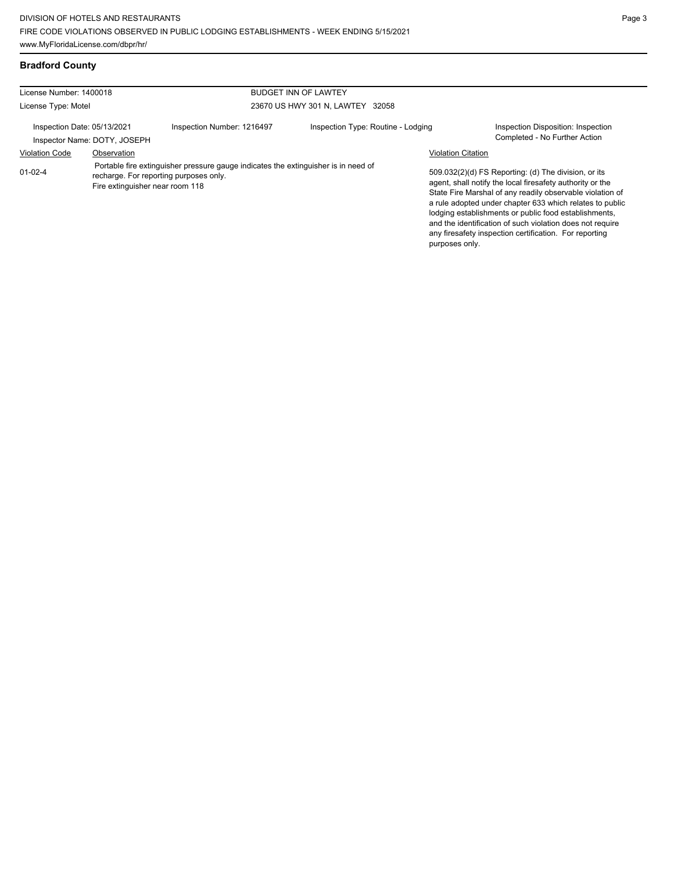| License Number: 1400018     |                                 |                                                                                                                              | <b>BUDGET INN OF LAWTEY</b>        |                           |                                                                                                                                                                                                                                                                                                                                                                                                                            |
|-----------------------------|---------------------------------|------------------------------------------------------------------------------------------------------------------------------|------------------------------------|---------------------------|----------------------------------------------------------------------------------------------------------------------------------------------------------------------------------------------------------------------------------------------------------------------------------------------------------------------------------------------------------------------------------------------------------------------------|
| License Type: Motel         |                                 |                                                                                                                              | 23670 US HWY 301 N, LAWTEY 32058   |                           |                                                                                                                                                                                                                                                                                                                                                                                                                            |
| Inspection Date: 05/13/2021 | Inspector Name: DOTY, JOSEPH    | Inspection Number: 1216497                                                                                                   | Inspection Type: Routine - Lodging |                           | Inspection Disposition: Inspection<br>Completed - No Further Action                                                                                                                                                                                                                                                                                                                                                        |
| <b>Violation Code</b>       | Observation                     |                                                                                                                              |                                    | <b>Violation Citation</b> |                                                                                                                                                                                                                                                                                                                                                                                                                            |
| $01 - 02 - 4$               | Fire extinguisher near room 118 | Portable fire extinguisher pressure gauge indicates the extinguisher is in need of<br>recharge. For reporting purposes only. |                                    | purposes only.            | 509.032(2)(d) FS Reporting: (d) The division, or its<br>agent, shall notify the local firesafety authority or the<br>State Fire Marshal of any readily observable violation of<br>a rule adopted under chapter 633 which relates to public<br>lodging establishments or public food establishments.<br>and the identification of such violation does not require<br>any firesafety inspection certification. For reporting |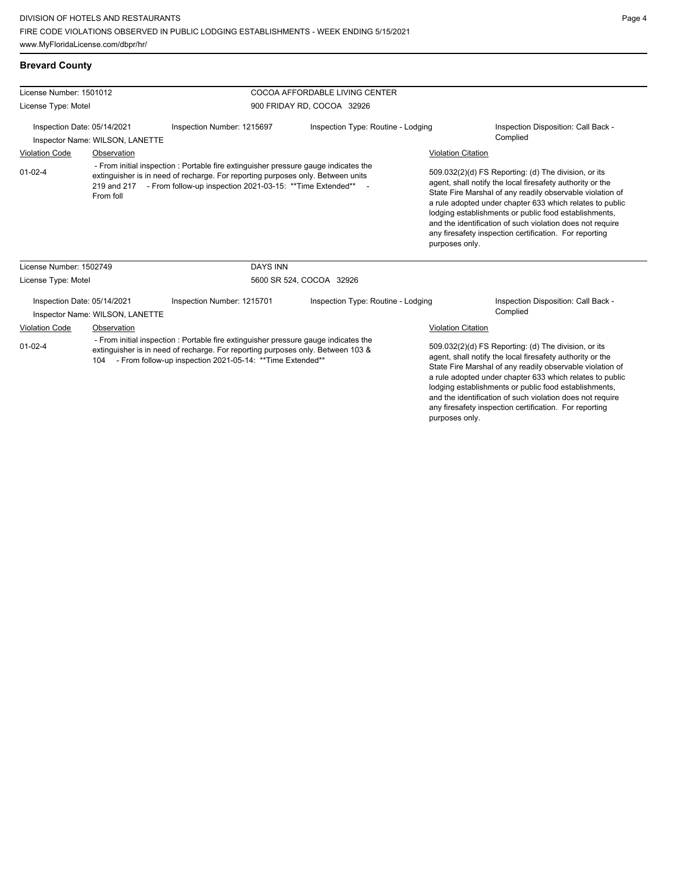## **Brevard County**

| License Number: 1501012     |                                 |                                                                                                                                                                                                                                                  | COCOA AFFORDABLE LIVING CENTER     |                                                                                                                                                                                                                                                                                                                                                                                                                                              |                                                                                                                                                                                                                                                                                                                                                                                                                            |
|-----------------------------|---------------------------------|--------------------------------------------------------------------------------------------------------------------------------------------------------------------------------------------------------------------------------------------------|------------------------------------|----------------------------------------------------------------------------------------------------------------------------------------------------------------------------------------------------------------------------------------------------------------------------------------------------------------------------------------------------------------------------------------------------------------------------------------------|----------------------------------------------------------------------------------------------------------------------------------------------------------------------------------------------------------------------------------------------------------------------------------------------------------------------------------------------------------------------------------------------------------------------------|
| License Type: Motel         |                                 |                                                                                                                                                                                                                                                  | 900 FRIDAY RD, COCOA 32926         |                                                                                                                                                                                                                                                                                                                                                                                                                                              |                                                                                                                                                                                                                                                                                                                                                                                                                            |
| Inspection Date: 05/14/2021 | Inspector Name: WILSON, LANETTE | Inspection Number: 1215697                                                                                                                                                                                                                       | Inspection Type: Routine - Lodging |                                                                                                                                                                                                                                                                                                                                                                                                                                              | Inspection Disposition: Call Back -<br>Complied                                                                                                                                                                                                                                                                                                                                                                            |
| <b>Violation Code</b>       | Observation                     |                                                                                                                                                                                                                                                  |                                    | <b>Violation Citation</b>                                                                                                                                                                                                                                                                                                                                                                                                                    |                                                                                                                                                                                                                                                                                                                                                                                                                            |
| $01 - 02 - 4$               | From foll                       | - From initial inspection : Portable fire extinguisher pressure gauge indicates the<br>extinguisher is in need of recharge. For reporting purposes only. Between units<br>219 and 217 - From follow-up inspection 2021-03-15: ** Time Extended** |                                    | 509.032(2)(d) FS Reporting: (d) The division, or its<br>agent, shall notify the local firesafety authority or the<br>State Fire Marshal of any readily observable violation of<br>a rule adopted under chapter 633 which relates to public<br>lodging establishments or public food establishments,<br>and the identification of such violation does not require<br>any firesafety inspection certification. For reporting<br>purposes only. |                                                                                                                                                                                                                                                                                                                                                                                                                            |
| License Number: 1502749     |                                 | <b>DAYS INN</b>                                                                                                                                                                                                                                  |                                    |                                                                                                                                                                                                                                                                                                                                                                                                                                              |                                                                                                                                                                                                                                                                                                                                                                                                                            |
| License Type: Motel         |                                 | 5600 SR 524, COCOA 32926                                                                                                                                                                                                                         |                                    |                                                                                                                                                                                                                                                                                                                                                                                                                                              |                                                                                                                                                                                                                                                                                                                                                                                                                            |
| Inspection Date: 05/14/2021 | Inspector Name: WILSON, LANETTE | Inspection Number: 1215701                                                                                                                                                                                                                       | Inspection Type: Routine - Lodging |                                                                                                                                                                                                                                                                                                                                                                                                                                              | Inspection Disposition: Call Back -<br>Complied                                                                                                                                                                                                                                                                                                                                                                            |
| Violation Code              | Observation                     |                                                                                                                                                                                                                                                  |                                    | Violation Citation                                                                                                                                                                                                                                                                                                                                                                                                                           |                                                                                                                                                                                                                                                                                                                                                                                                                            |
| $01 - 02 - 4$               |                                 | - From initial inspection : Portable fire extinguisher pressure gauge indicates the<br>extinguisher is in need of recharge. For reporting purposes only. Between 103 &<br>104 - From follow-up inspection 2021-05-14: ** Time Extended**         |                                    |                                                                                                                                                                                                                                                                                                                                                                                                                                              | 509.032(2)(d) FS Reporting: (d) The division, or its<br>agent, shall notify the local firesafety authority or the<br>State Fire Marshal of any readily observable violation of<br>a rule adopted under chapter 633 which relates to public<br>lodging establishments or public food establishments,<br>and the identification of such violation does not require<br>any firesafety inspection certification. For reporting |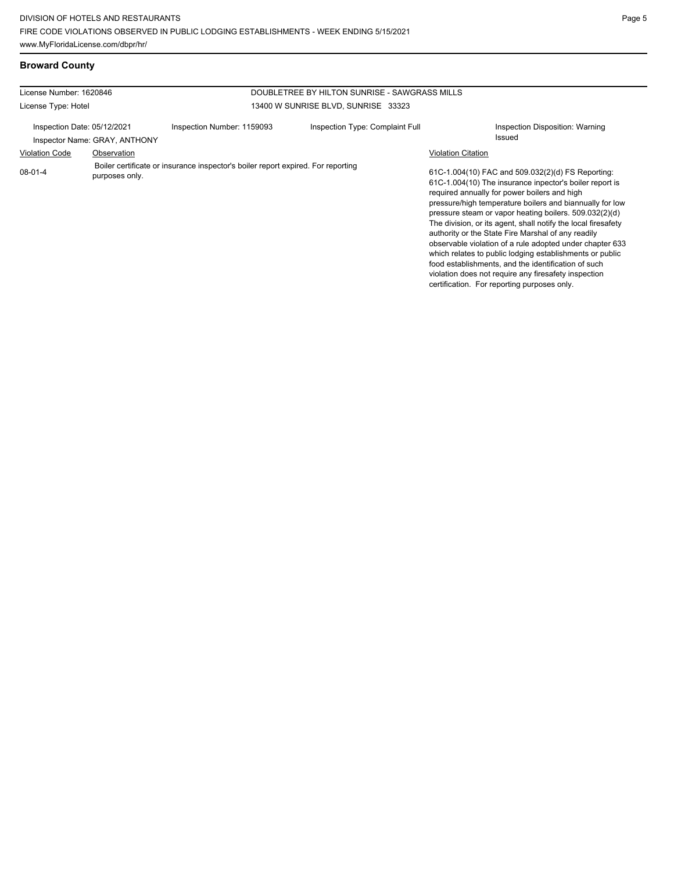## **Broward County**

| License Number: 1620846     |                               |                                                                                  | DOUBLETREE BY HILTON SUNRISE - SAWGRASS MILLS |                                                                                                                                                                                                                                                                                                                                                                                                                                                                                                                                                                                                                                                                                                 |
|-----------------------------|-------------------------------|----------------------------------------------------------------------------------|-----------------------------------------------|-------------------------------------------------------------------------------------------------------------------------------------------------------------------------------------------------------------------------------------------------------------------------------------------------------------------------------------------------------------------------------------------------------------------------------------------------------------------------------------------------------------------------------------------------------------------------------------------------------------------------------------------------------------------------------------------------|
| License Type: Hotel         |                               |                                                                                  | 13400 W SUNRISE BLVD, SUNRISE 33323           |                                                                                                                                                                                                                                                                                                                                                                                                                                                                                                                                                                                                                                                                                                 |
| Inspection Date: 05/12/2021 | Inspector Name: GRAY, ANTHONY | Inspection Number: 1159093                                                       | Inspection Type: Complaint Full               | Inspection Disposition: Warning<br>Issued                                                                                                                                                                                                                                                                                                                                                                                                                                                                                                                                                                                                                                                       |
| <b>Violation Code</b>       | Observation                   |                                                                                  |                                               | <b>Violation Citation</b>                                                                                                                                                                                                                                                                                                                                                                                                                                                                                                                                                                                                                                                                       |
| 08-01-4                     | purposes only.                | Boiler certificate or insurance inspector's boiler report expired. For reporting |                                               | 61C-1.004(10) FAC and 509.032(2)(d) FS Reporting:<br>61C-1.004(10) The insurance inpector's boiler report is<br>required annually for power boilers and high<br>pressure/high temperature boilers and biannually for low<br>pressure steam or vapor heating boilers. 509.032(2)(d)<br>The division, or its agent, shall notify the local firesafety<br>authority or the State Fire Marshal of any readily<br>observable violation of a rule adopted under chapter 633<br>which relates to public lodging establishments or public<br>food establishments, and the identification of such<br>violation does not require any firesafety inspection<br>certification. For reporting purposes only. |
|                             |                               |                                                                                  |                                               |                                                                                                                                                                                                                                                                                                                                                                                                                                                                                                                                                                                                                                                                                                 |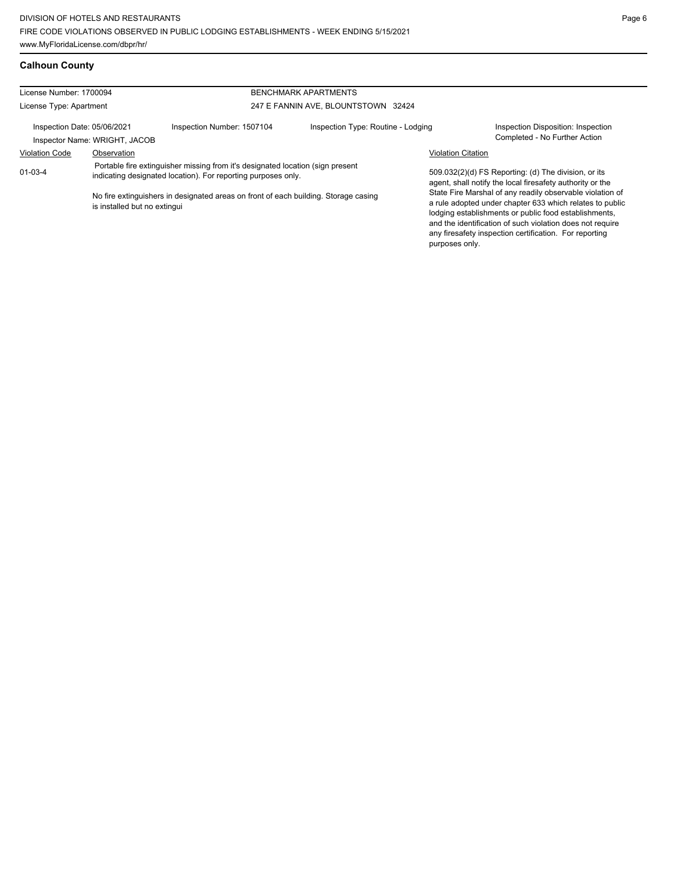| License Number: 1700094                                                                                                                                          |                              |                                                                                     | <b>BENCHMARK APARTMENTS</b>         |                                                                                                                   |                                                                                                                                                                                                                                                                                                       |  |
|------------------------------------------------------------------------------------------------------------------------------------------------------------------|------------------------------|-------------------------------------------------------------------------------------|-------------------------------------|-------------------------------------------------------------------------------------------------------------------|-------------------------------------------------------------------------------------------------------------------------------------------------------------------------------------------------------------------------------------------------------------------------------------------------------|--|
| License Type: Apartment                                                                                                                                          |                              |                                                                                     | 247 E FANNIN AVE, BLOUNTSTOWN 32424 |                                                                                                                   |                                                                                                                                                                                                                                                                                                       |  |
| Inspection Date: 05/06/2021<br>Inspector Name: WRIGHT, JACOB                                                                                                     |                              | Inspection Number: 1507104                                                          | Inspection Type: Routine - Lodging  |                                                                                                                   | Inspection Disposition: Inspection<br>Completed - No Further Action                                                                                                                                                                                                                                   |  |
| <b>Violation Code</b>                                                                                                                                            | Observation                  |                                                                                     |                                     | <b>Violation Citation</b>                                                                                         |                                                                                                                                                                                                                                                                                                       |  |
| Portable fire extinguisher missing from it's designated location (sign present<br>$01 - 03 - 4$<br>indicating designated location). For reporting purposes only. |                              |                                                                                     |                                     | 509.032(2)(d) FS Reporting: (d) The division, or its<br>agent, shall notify the local firesafety authority or the |                                                                                                                                                                                                                                                                                                       |  |
|                                                                                                                                                                  | is installed but no extingui | No fire extinguishers in designated areas on front of each building. Storage casing |                                     | purposes only.                                                                                                    | State Fire Marshal of any readily observable violation of<br>a rule adopted under chapter 633 which relates to public<br>lodging establishments or public food establishments,<br>and the identification of such violation does not require<br>any firesafety inspection certification. For reporting |  |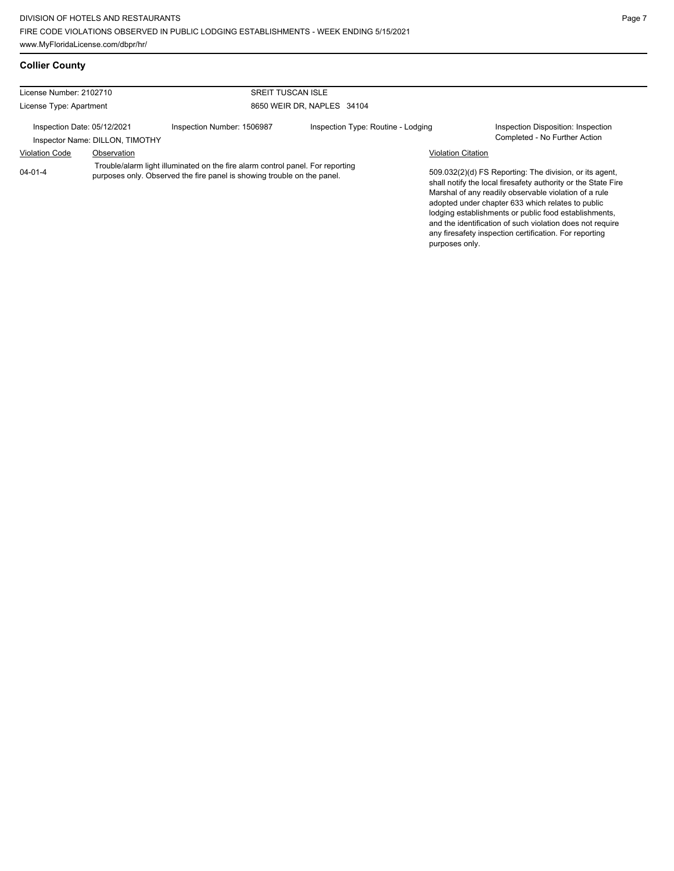## **Collier County**

| License Number: 2102710                                        |             |                                                                                                                                                           | <b>SREIT TUSCAN ISLE</b>           |                           |                                                                                                                                                                                                                                                                                                                                                              |  |  |
|----------------------------------------------------------------|-------------|-----------------------------------------------------------------------------------------------------------------------------------------------------------|------------------------------------|---------------------------|--------------------------------------------------------------------------------------------------------------------------------------------------------------------------------------------------------------------------------------------------------------------------------------------------------------------------------------------------------------|--|--|
| License Type: Apartment                                        |             |                                                                                                                                                           | 8650 WEIR DR, NAPLES 34104         |                           |                                                                                                                                                                                                                                                                                                                                                              |  |  |
| Inspection Date: 05/12/2021<br>Inspector Name: DILLON, TIMOTHY |             | Inspection Number: 1506987                                                                                                                                | Inspection Type: Routine - Lodging |                           | Inspection Disposition: Inspection<br>Completed - No Further Action                                                                                                                                                                                                                                                                                          |  |  |
| <b>Violation Code</b>                                          | Observation |                                                                                                                                                           |                                    | <b>Violation Citation</b> |                                                                                                                                                                                                                                                                                                                                                              |  |  |
| $04 - 01 - 4$                                                  |             | Trouble/alarm light illuminated on the fire alarm control panel. For reporting<br>purposes only. Observed the fire panel is showing trouble on the panel. |                                    |                           | 509.032(2)(d) FS Reporting: The division, or its agent,<br>shall notify the local firesafety authority or the State Fire<br>Marshal of any readily observable violation of a rule<br>adopted under chapter 633 which relates to public<br>lodging establishments or public food establishments,<br>and the identification of such violation does not require |  |  |

any firesafety inspection certification. For reporting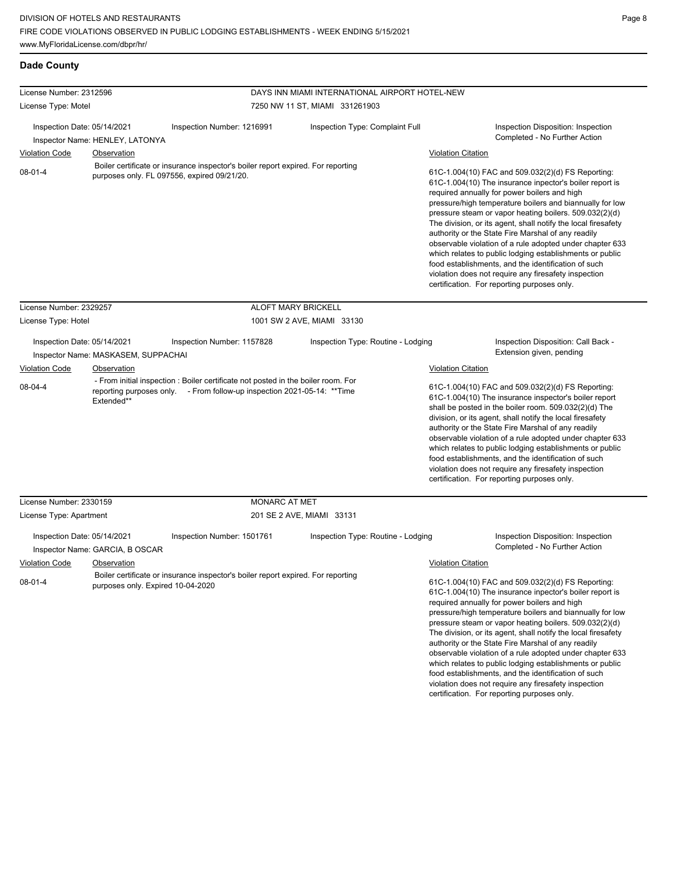## **Dade County**

| License Number: 2312596                                                                          |                                                                                     |                                                                                                                                                                                             |                                                                                  | DAYS INN MIAMI INTERNATIONAL AIRPORT HOTEL-NEW |  |                                                                                                                                                                                                                                                                                                                                                                                                                                                                                                                                                                                                                                                                                                 |                                                                                                                                                                                                                                                                                                                                                                                                                                                                                                                                                                                                                                                                 |
|--------------------------------------------------------------------------------------------------|-------------------------------------------------------------------------------------|---------------------------------------------------------------------------------------------------------------------------------------------------------------------------------------------|----------------------------------------------------------------------------------|------------------------------------------------|--|-------------------------------------------------------------------------------------------------------------------------------------------------------------------------------------------------------------------------------------------------------------------------------------------------------------------------------------------------------------------------------------------------------------------------------------------------------------------------------------------------------------------------------------------------------------------------------------------------------------------------------------------------------------------------------------------------|-----------------------------------------------------------------------------------------------------------------------------------------------------------------------------------------------------------------------------------------------------------------------------------------------------------------------------------------------------------------------------------------------------------------------------------------------------------------------------------------------------------------------------------------------------------------------------------------------------------------------------------------------------------------|
| License Type: Motel                                                                              |                                                                                     |                                                                                                                                                                                             | 7250 NW 11 ST, MIAMI 331261903                                                   |                                                |  |                                                                                                                                                                                                                                                                                                                                                                                                                                                                                                                                                                                                                                                                                                 |                                                                                                                                                                                                                                                                                                                                                                                                                                                                                                                                                                                                                                                                 |
| Inspection Date: 05/14/2021<br><b>Violation Code</b>                                             | Inspector Name: HENLEY, LATONYA<br>Observation                                      | Inspection Number: 1216991                                                                                                                                                                  |                                                                                  | Inspection Type: Complaint Full                |  | <b>Violation Citation</b>                                                                                                                                                                                                                                                                                                                                                                                                                                                                                                                                                                                                                                                                       | Inspection Disposition: Inspection<br>Completed - No Further Action                                                                                                                                                                                                                                                                                                                                                                                                                                                                                                                                                                                             |
| $08 - 01 - 4$                                                                                    |                                                                                     | purposes only. FL 097556, expired 09/21/20.                                                                                                                                                 | Boiler certificate or insurance inspector's boiler report expired. For reporting |                                                |  | 61C-1.004(10) FAC and 509.032(2)(d) FS Reporting:<br>61C-1.004(10) The insurance inpector's boiler report is<br>required annually for power boilers and high<br>pressure/high temperature boilers and biannually for low<br>pressure steam or vapor heating boilers. 509.032(2)(d)<br>The division, or its agent, shall notify the local firesafety<br>authority or the State Fire Marshal of any readily<br>observable violation of a rule adopted under chapter 633<br>which relates to public lodging establishments or public<br>food establishments, and the identification of such<br>violation does not require any firesafety inspection<br>certification. For reporting purposes only. |                                                                                                                                                                                                                                                                                                                                                                                                                                                                                                                                                                                                                                                                 |
| License Number: 2329257                                                                          |                                                                                     |                                                                                                                                                                                             | <b>ALOFT MARY BRICKELL</b>                                                       |                                                |  |                                                                                                                                                                                                                                                                                                                                                                                                                                                                                                                                                                                                                                                                                                 |                                                                                                                                                                                                                                                                                                                                                                                                                                                                                                                                                                                                                                                                 |
| License Type: Hotel                                                                              |                                                                                     |                                                                                                                                                                                             |                                                                                  | 1001 SW 2 AVE, MIAMI 33130                     |  |                                                                                                                                                                                                                                                                                                                                                                                                                                                                                                                                                                                                                                                                                                 |                                                                                                                                                                                                                                                                                                                                                                                                                                                                                                                                                                                                                                                                 |
| Inspection Date: 05/14/2021<br><b>Violation Code</b><br>08-04-4                                  | Inspector Name: MASKASEM, SUPPACHAI<br>Observation<br>Extended**                    | Inspection Number: 1157828<br>- From initial inspection : Boiler certificate not posted in the boiler room. For<br>reporting purposes only. - From follow-up inspection 2021-05-14: ** Time |                                                                                  | Inspection Type: Routine - Lodging             |  | <b>Violation Citation</b>                                                                                                                                                                                                                                                                                                                                                                                                                                                                                                                                                                                                                                                                       | Inspection Disposition: Call Back -<br>Extension given, pending<br>61C-1.004(10) FAC and 509.032(2)(d) FS Reporting:<br>61C-1.004(10) The insurance inspector's boiler report<br>shall be posted in the boiler room. 509.032(2)(d) The<br>division, or its agent, shall notify the local firesafety<br>authority or the State Fire Marshal of any readily<br>observable violation of a rule adopted under chapter 633<br>which relates to public lodging establishments or public<br>food establishments, and the identification of such<br>violation does not require any firesafety inspection<br>certification. For reporting purposes only.                 |
| License Number: 2330159                                                                          |                                                                                     |                                                                                                                                                                                             | MONARC AT MET                                                                    |                                                |  |                                                                                                                                                                                                                                                                                                                                                                                                                                                                                                                                                                                                                                                                                                 |                                                                                                                                                                                                                                                                                                                                                                                                                                                                                                                                                                                                                                                                 |
| License Type: Apartment<br>Inspection Date: 05/14/2021<br><b>Violation Code</b><br>$08 - 01 - 4$ | Inspector Name: GARCIA, B OSCAR<br>Observation<br>purposes only. Expired 10-04-2020 | Inspection Number: 1501761<br>Boiler certificate or insurance inspector's boiler report expired. For reporting                                                                              | 201 SE 2 AVE, MIAMI 33131                                                        | Inspection Type: Routine - Lodging             |  | <b>Violation Citation</b>                                                                                                                                                                                                                                                                                                                                                                                                                                                                                                                                                                                                                                                                       | Inspection Disposition: Inspection<br>Completed - No Further Action<br>61C-1.004(10) FAC and 509.032(2)(d) FS Reporting:<br>61C-1.004(10) The insurance inpector's boiler report is<br>required annually for power boilers and high<br>pressure/high temperature boilers and biannually for low<br>pressure steam or vapor heating boilers. 509.032(2)(d)<br>The division, or its agent, shall notify the local firesafety<br>authority or the State Fire Marshal of any readily<br>observable violation of a rule adopted under chapter 633<br>which relates to public lodging establishments or public<br>food establishments, and the identification of such |

violation does not require any firesafety inspection certification. For reporting purposes only.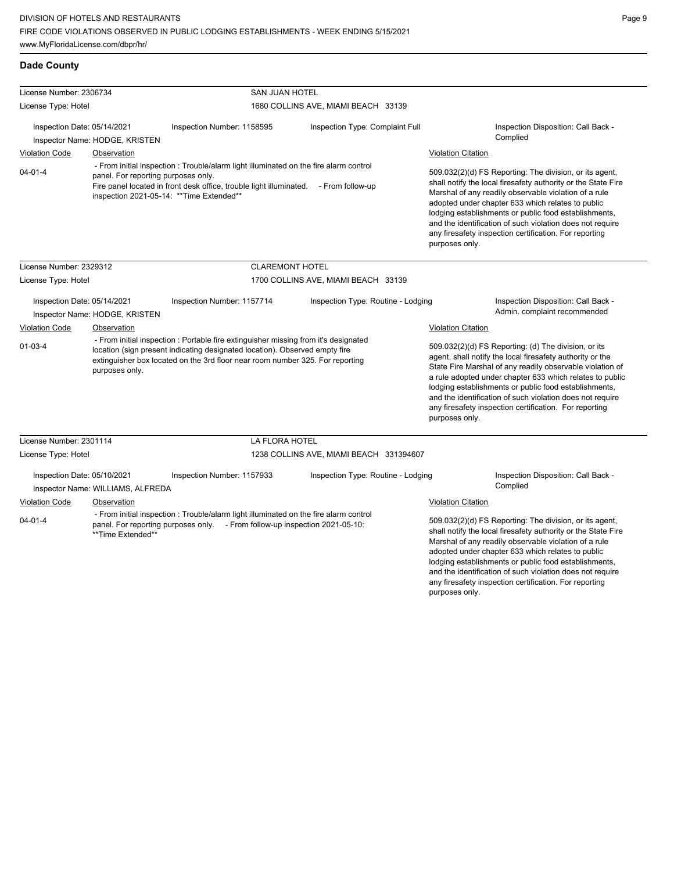## **Dade County**

| License Number: 2306734                                                                                                                                                                                                                                                                |                                               |                                                                                                                                                                      | <b>SAN JUAN HOTEL</b>                   |                                                                                                                                                                                                                                                                                                                                                                                                                                              |  |  |
|----------------------------------------------------------------------------------------------------------------------------------------------------------------------------------------------------------------------------------------------------------------------------------------|-----------------------------------------------|----------------------------------------------------------------------------------------------------------------------------------------------------------------------|-----------------------------------------|----------------------------------------------------------------------------------------------------------------------------------------------------------------------------------------------------------------------------------------------------------------------------------------------------------------------------------------------------------------------------------------------------------------------------------------------|--|--|
| License Type: Hotel                                                                                                                                                                                                                                                                    |                                               |                                                                                                                                                                      | 1680 COLLINS AVE, MIAMI BEACH 33139     |                                                                                                                                                                                                                                                                                                                                                                                                                                              |  |  |
| Inspection Date: 05/14/2021<br>Inspector Name: HODGE, KRISTEN                                                                                                                                                                                                                          |                                               | Inspection Number: 1158595                                                                                                                                           | Inspection Type: Complaint Full         | Inspection Disposition: Call Back -<br>Complied                                                                                                                                                                                                                                                                                                                                                                                              |  |  |
| <b>Violation Code</b>                                                                                                                                                                                                                                                                  | Observation                                   |                                                                                                                                                                      |                                         | <b>Violation Citation</b>                                                                                                                                                                                                                                                                                                                                                                                                                    |  |  |
| - From initial inspection: Trouble/alarm light illuminated on the fire alarm control<br>$04 - 01 - 4$<br>panel. For reporting purposes only.<br>Fire panel located in front desk office, trouble light illuminated. - From follow-up<br>inspection 2021-05-14: ** Time Extended**      |                                               |                                                                                                                                                                      |                                         | 509.032(2)(d) FS Reporting: The division, or its agent,<br>shall notify the local firesafety authority or the State Fire<br>Marshal of any readily observable violation of a rule<br>adopted under chapter 633 which relates to public<br>lodging establishments or public food establishments,<br>and the identification of such violation does not require<br>any firesafety inspection certification. For reporting<br>purposes only.     |  |  |
| License Number: 2329312                                                                                                                                                                                                                                                                |                                               | <b>CLAREMONT HOTEL</b>                                                                                                                                               |                                         |                                                                                                                                                                                                                                                                                                                                                                                                                                              |  |  |
| License Type: Hotel                                                                                                                                                                                                                                                                    |                                               |                                                                                                                                                                      | 1700 COLLINS AVE, MIAMI BEACH 33139     |                                                                                                                                                                                                                                                                                                                                                                                                                                              |  |  |
| Inspection Date: 05/14/2021<br><b>Violation Code</b>                                                                                                                                                                                                                                   | Inspector Name: HODGE, KRISTEN<br>Observation | Inspection Number: 1157714                                                                                                                                           | Inspection Type: Routine - Lodging      | Inspection Disposition: Call Back -<br>Admin. complaint recommended<br><b>Violation Citation</b>                                                                                                                                                                                                                                                                                                                                             |  |  |
| - From initial inspection : Portable fire extinguisher missing from it's designated<br>$01 - 03 - 4$<br>location (sign present indicating designated location). Observed empty fire<br>extinguisher box located on the 3rd floor near room number 325. For reporting<br>purposes only. |                                               |                                                                                                                                                                      |                                         | 509.032(2)(d) FS Reporting: (d) The division, or its<br>agent, shall notify the local firesafety authority or the<br>State Fire Marshal of any readily observable violation of<br>a rule adopted under chapter 633 which relates to public<br>lodging establishments or public food establishments,<br>and the identification of such violation does not require<br>any firesafety inspection certification. For reporting<br>purposes only. |  |  |
| License Number: 2301114                                                                                                                                                                                                                                                                |                                               | <b>LA FLORA HOTEL</b>                                                                                                                                                |                                         |                                                                                                                                                                                                                                                                                                                                                                                                                                              |  |  |
| License Type: Hotel                                                                                                                                                                                                                                                                    |                                               |                                                                                                                                                                      | 1238 COLLINS AVE, MIAMI BEACH 331394607 |                                                                                                                                                                                                                                                                                                                                                                                                                                              |  |  |
| Inspection Date: 05/10/2021                                                                                                                                                                                                                                                            | Inspector Name: WILLIAMS, ALFREDA             | Inspection Number: 1157933                                                                                                                                           | Inspection Type: Routine - Lodging      | Inspection Disposition: Call Back -<br>Complied                                                                                                                                                                                                                                                                                                                                                                                              |  |  |
| <b>Violation Code</b>                                                                                                                                                                                                                                                                  | Observation                                   |                                                                                                                                                                      |                                         | <b>Violation Citation</b>                                                                                                                                                                                                                                                                                                                                                                                                                    |  |  |
| $04 - 01 - 4$<br>**Time Extended**                                                                                                                                                                                                                                                     |                                               | - From initial inspection : Trouble/alarm light illuminated on the fire alarm control<br>panel. For reporting purposes only. - From follow-up inspection 2021-05-10: |                                         | 509.032(2)(d) FS Reporting: The division, or its agent,<br>shall notify the local firesafety authority or the State Fire<br>Marshal of any readily observable violation of a rule<br>adopted under chapter 633 which relates to public<br>lodging establishments or public food establishments,<br>and the identification of such violation does not require<br>any firesafety inspection certification. For reporting                       |  |  |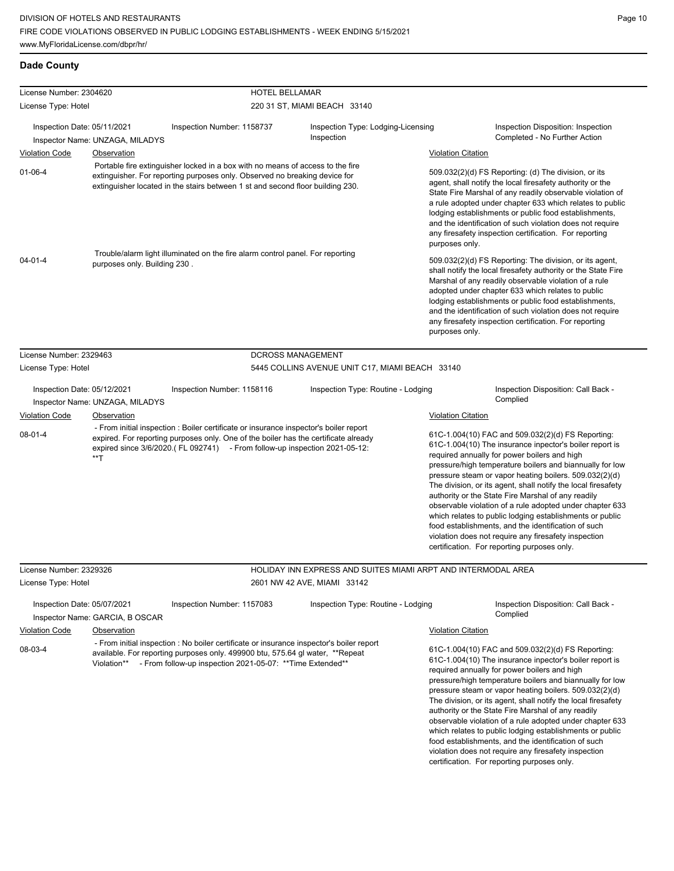## **Dade County**

| License Number: 2304620                                                                                                                                                                                                                                                                                                                                                                            |                                                                                                                                                                                                                                                                                                                  | HOTEL BELLAMAR                                                                                                                                                                                                                          |                                                  |                                                                                                                                                                                                                                                                                                                                                                                                                                                                                                                                                                                                                                                                                                 |
|----------------------------------------------------------------------------------------------------------------------------------------------------------------------------------------------------------------------------------------------------------------------------------------------------------------------------------------------------------------------------------------------------|------------------------------------------------------------------------------------------------------------------------------------------------------------------------------------------------------------------------------------------------------------------------------------------------------------------|-----------------------------------------------------------------------------------------------------------------------------------------------------------------------------------------------------------------------------------------|--------------------------------------------------|-------------------------------------------------------------------------------------------------------------------------------------------------------------------------------------------------------------------------------------------------------------------------------------------------------------------------------------------------------------------------------------------------------------------------------------------------------------------------------------------------------------------------------------------------------------------------------------------------------------------------------------------------------------------------------------------------|
| License Type: Hotel                                                                                                                                                                                                                                                                                                                                                                                |                                                                                                                                                                                                                                                                                                                  |                                                                                                                                                                                                                                         | 220 31 ST, MIAMI BEACH 33140                     |                                                                                                                                                                                                                                                                                                                                                                                                                                                                                                                                                                                                                                                                                                 |
| Inspection Date: 05/11/2021                                                                                                                                                                                                                                                                                                                                                                        |                                                                                                                                                                                                                                                                                                                  | Inspection Number: 1158737                                                                                                                                                                                                              | Inspection Type: Lodging-Licensing<br>Inspection | Inspection Disposition: Inspection<br>Completed - No Further Action                                                                                                                                                                                                                                                                                                                                                                                                                                                                                                                                                                                                                             |
|                                                                                                                                                                                                                                                                                                                                                                                                    | Inspector Name: UNZAGA, MILADYS                                                                                                                                                                                                                                                                                  |                                                                                                                                                                                                                                         |                                                  |                                                                                                                                                                                                                                                                                                                                                                                                                                                                                                                                                                                                                                                                                                 |
| <b>Violation Code</b>                                                                                                                                                                                                                                                                                                                                                                              | <b>Observation</b>                                                                                                                                                                                                                                                                                               |                                                                                                                                                                                                                                         |                                                  | <b>Violation Citation</b>                                                                                                                                                                                                                                                                                                                                                                                                                                                                                                                                                                                                                                                                       |
| Portable fire extinguisher locked in a box with no means of access to the fire<br>$01 - 06 - 4$<br>extinguisher. For reporting purposes only. Observed no breaking device for<br>extinguisher located in the stairs between 1 st and second floor building 230.<br>Trouble/alarm light illuminated on the fire alarm control panel. For reporting<br>$04 - 01 - 4$<br>purposes only. Building 230. |                                                                                                                                                                                                                                                                                                                  |                                                                                                                                                                                                                                         |                                                  | 509.032(2)(d) FS Reporting: (d) The division, or its<br>agent, shall notify the local firesafety authority or the<br>State Fire Marshal of any readily observable violation of<br>a rule adopted under chapter 633 which relates to public<br>lodging establishments or public food establishments,<br>and the identification of such violation does not require<br>any firesafety inspection certification. For reporting<br>purposes only.                                                                                                                                                                                                                                                    |
|                                                                                                                                                                                                                                                                                                                                                                                                    |                                                                                                                                                                                                                                                                                                                  |                                                                                                                                                                                                                                         |                                                  | 509.032(2)(d) FS Reporting: The division, or its agent,<br>shall notify the local firesafety authority or the State Fire<br>Marshal of any readily observable violation of a rule<br>adopted under chapter 633 which relates to public<br>lodging establishments or public food establishments,<br>and the identification of such violation does not require<br>any firesafety inspection certification. For reporting<br>purposes only.                                                                                                                                                                                                                                                        |
| License Number: 2329463                                                                                                                                                                                                                                                                                                                                                                            |                                                                                                                                                                                                                                                                                                                  |                                                                                                                                                                                                                                         | <b>DCROSS MANAGEMENT</b>                         |                                                                                                                                                                                                                                                                                                                                                                                                                                                                                                                                                                                                                                                                                                 |
| License Type: Hotel                                                                                                                                                                                                                                                                                                                                                                                |                                                                                                                                                                                                                                                                                                                  |                                                                                                                                                                                                                                         | 5445 COLLINS AVENUE UNIT C17, MIAMI BEACH 33140  |                                                                                                                                                                                                                                                                                                                                                                                                                                                                                                                                                                                                                                                                                                 |
| Inspection Date: 05/12/2021                                                                                                                                                                                                                                                                                                                                                                        | Inspector Name: UNZAGA, MILADYS                                                                                                                                                                                                                                                                                  | Inspection Number: 1158116                                                                                                                                                                                                              | Inspection Type: Routine - Lodging               | Inspection Disposition: Call Back -<br>Complied                                                                                                                                                                                                                                                                                                                                                                                                                                                                                                                                                                                                                                                 |
|                                                                                                                                                                                                                                                                                                                                                                                                    |                                                                                                                                                                                                                                                                                                                  |                                                                                                                                                                                                                                         |                                                  | <b>Violation Citation</b>                                                                                                                                                                                                                                                                                                                                                                                                                                                                                                                                                                                                                                                                       |
| $08 - 01 - 4$                                                                                                                                                                                                                                                                                                                                                                                      | <b>Violation Code</b><br><b>Observation</b><br>- From initial inspection : Boiler certificate or insurance inspector's boiler report<br>expired. For reporting purposes only. One of the boiler has the certificate already<br>expired since 3/6/2020.(FL 092741) - From follow-up inspection 2021-05-12:<br>**T |                                                                                                                                                                                                                                         |                                                  | 61C-1.004(10) FAC and 509.032(2)(d) FS Reporting:<br>61C-1.004(10) The insurance inpector's boiler report is<br>required annually for power boilers and high<br>pressure/high temperature boilers and biannually for low<br>pressure steam or vapor heating boilers. 509.032(2)(d)<br>The division, or its agent, shall notify the local firesafety<br>authority or the State Fire Marshal of any readily<br>observable violation of a rule adopted under chapter 633<br>which relates to public lodging establishments or public<br>food establishments, and the identification of such<br>violation does not require any firesafety inspection<br>certification. For reporting purposes only. |
| License Number: 2329326                                                                                                                                                                                                                                                                                                                                                                            |                                                                                                                                                                                                                                                                                                                  |                                                                                                                                                                                                                                         |                                                  | HOLIDAY INN EXPRESS AND SUITES MIAMI ARPT AND INTERMODAL AREA                                                                                                                                                                                                                                                                                                                                                                                                                                                                                                                                                                                                                                   |
| License Type: Hotel                                                                                                                                                                                                                                                                                                                                                                                |                                                                                                                                                                                                                                                                                                                  |                                                                                                                                                                                                                                         | 2601 NW 42 AVE, MIAMI 33142                      |                                                                                                                                                                                                                                                                                                                                                                                                                                                                                                                                                                                                                                                                                                 |
| Inspection Date: 05/07/2021                                                                                                                                                                                                                                                                                                                                                                        | Inspector Name: GARCIA, B OSCAR                                                                                                                                                                                                                                                                                  | Inspection Number: 1157083                                                                                                                                                                                                              | Inspection Type: Routine - Lodging               | Inspection Disposition: Call Back -<br>Complied                                                                                                                                                                                                                                                                                                                                                                                                                                                                                                                                                                                                                                                 |
| <b>Violation Code</b>                                                                                                                                                                                                                                                                                                                                                                              | Observation                                                                                                                                                                                                                                                                                                      |                                                                                                                                                                                                                                         |                                                  | <b>Violation Citation</b>                                                                                                                                                                                                                                                                                                                                                                                                                                                                                                                                                                                                                                                                       |
| 08-03-4                                                                                                                                                                                                                                                                                                                                                                                            | Violation**                                                                                                                                                                                                                                                                                                      | - From initial inspection : No boiler certificate or insurance inspector's boiler report<br>available. For reporting purposes only. 499900 btu, 575.64 gl water, **Repeat<br>- From follow-up inspection 2021-05-07: ** Time Extended** |                                                  | 61C-1.004(10) FAC and 509.032(2)(d) FS Reporting:<br>61C-1.004(10) The insurance inpector's boiler report is<br>required annually for power boilers and high<br>pressure/high temperature boilers and biannually for low<br>pressure steam or vapor heating boilers. 509.032(2)(d)<br>The division, or its agent, shall notify the local firesafety<br>authority or the State Fire Marshal of any readily<br>observable violation of a rule adopted under chapter 633<br>which relates to public lodging establishments or public<br>food establishments, and the identification of such<br>violation does not require any firesafety inspection<br>certification. For reporting purposes only. |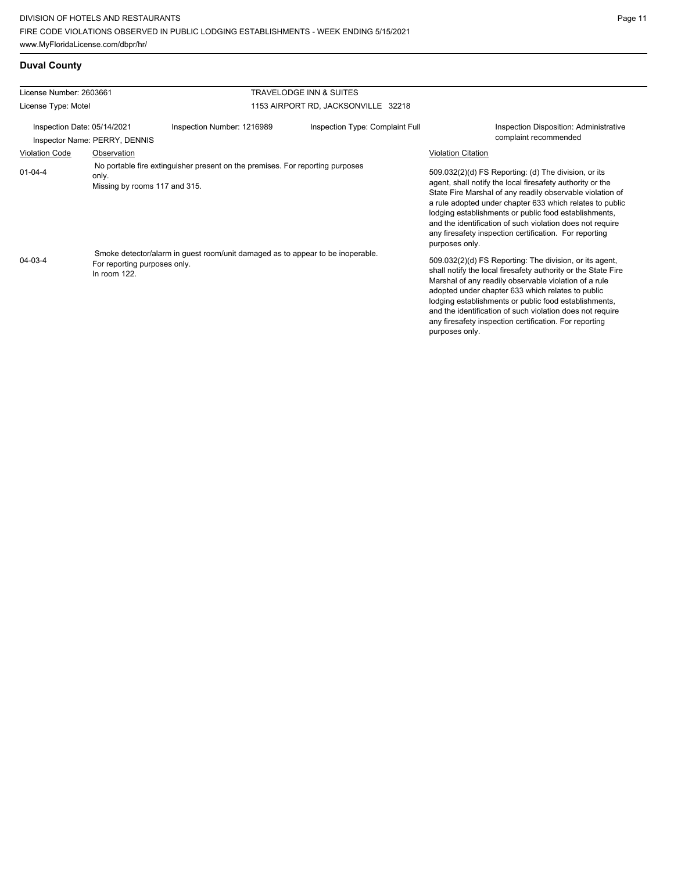| <b>Duval County</b> |
|---------------------|
|---------------------|

| License Number: 2603661     |                                                                                                                                   |                                                                               | <b>TRAVELODGE INN &amp; SUITES</b>  |                                                                                                                                                                                                                                                                                                                                                                                                                                              |
|-----------------------------|-----------------------------------------------------------------------------------------------------------------------------------|-------------------------------------------------------------------------------|-------------------------------------|----------------------------------------------------------------------------------------------------------------------------------------------------------------------------------------------------------------------------------------------------------------------------------------------------------------------------------------------------------------------------------------------------------------------------------------------|
| License Type: Motel         |                                                                                                                                   |                                                                               | 1153 AIRPORT RD, JACKSONVILLE 32218 |                                                                                                                                                                                                                                                                                                                                                                                                                                              |
| Inspection Date: 05/14/2021 | Inspector Name: PERRY, DENNIS                                                                                                     | Inspection Number: 1216989                                                    | Inspection Type: Complaint Full     | <b>Inspection Disposition: Administrative</b><br>complaint recommended                                                                                                                                                                                                                                                                                                                                                                       |
| <b>Violation Code</b>       | Observation                                                                                                                       |                                                                               |                                     | <b>Violation Citation</b>                                                                                                                                                                                                                                                                                                                                                                                                                    |
| $01 - 04 - 4$               | only.<br>Missing by rooms 117 and 315.                                                                                            | No portable fire extinguisher present on the premises. For reporting purposes |                                     | 509.032(2)(d) FS Reporting: (d) The division, or its<br>agent, shall notify the local firesafety authority or the<br>State Fire Marshal of any readily observable violation of<br>a rule adopted under chapter 633 which relates to public<br>lodging establishments or public food establishments,<br>and the identification of such violation does not require<br>any firesafety inspection certification. For reporting<br>purposes only. |
| $04 - 03 - 4$               | Smoke detector/alarm in guest room/unit damaged as to appear to be inoperable.<br>For reporting purposes only.<br>In room $122$ . |                                                                               |                                     | 509.032(2)(d) FS Reporting: The division, or its agent,<br>shall notify the local firesafety authority or the State Fire<br>Marshal of any readily observable violation of a rule<br>adopted under chapter 633 which relates to public<br>lodging establishments or public food establishments,<br>and the identification of such violation does not require<br>any firesafety inspection certification. For reporting<br>purposes only.     |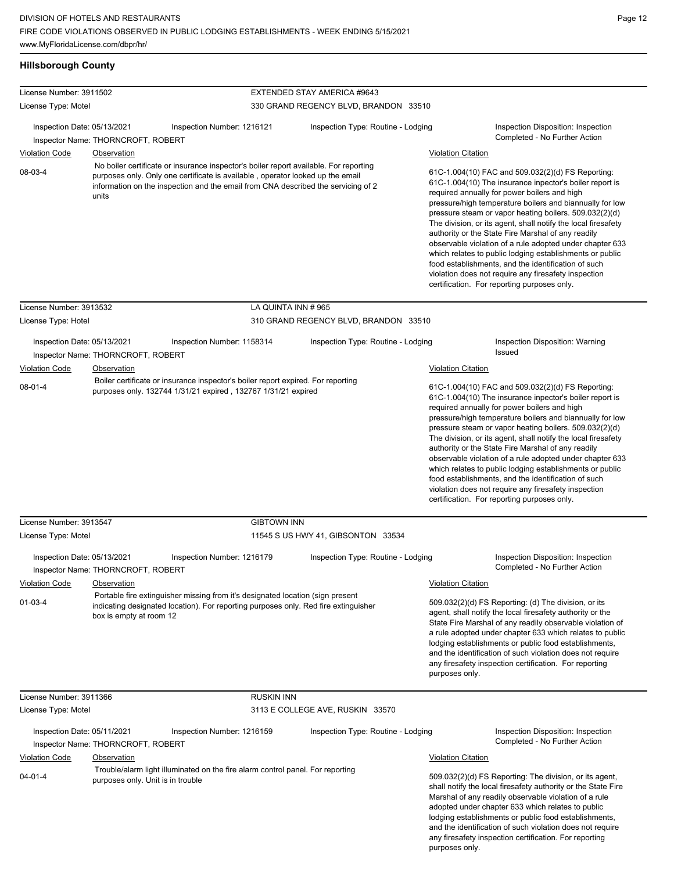# **Hillsborough County**

| License Number: 3911502                                                                                                                                                                                                                                                          |                                                  |                                                                                                                                                                       | EXTENDED STAY AMERICA #9643           |                           |                                                                                                                                                                                                                                                                                                                                                                                                                                                                                                                                                                                                                                                                                                                              |  |  |
|----------------------------------------------------------------------------------------------------------------------------------------------------------------------------------------------------------------------------------------------------------------------------------|--------------------------------------------------|-----------------------------------------------------------------------------------------------------------------------------------------------------------------------|---------------------------------------|---------------------------|------------------------------------------------------------------------------------------------------------------------------------------------------------------------------------------------------------------------------------------------------------------------------------------------------------------------------------------------------------------------------------------------------------------------------------------------------------------------------------------------------------------------------------------------------------------------------------------------------------------------------------------------------------------------------------------------------------------------------|--|--|
| License Type: Motel                                                                                                                                                                                                                                                              |                                                  |                                                                                                                                                                       | 330 GRAND REGENCY BLVD, BRANDON 33510 |                           |                                                                                                                                                                                                                                                                                                                                                                                                                                                                                                                                                                                                                                                                                                                              |  |  |
| Inspection Date: 05/13/2021                                                                                                                                                                                                                                                      | Inspector Name: THORNCROFT, ROBERT               | Inspection Number: 1216121                                                                                                                                            | Inspection Type: Routine - Lodging    |                           | Inspection Disposition: Inspection<br>Completed - No Further Action                                                                                                                                                                                                                                                                                                                                                                                                                                                                                                                                                                                                                                                          |  |  |
| <b>Violation Code</b>                                                                                                                                                                                                                                                            | Observation                                      |                                                                                                                                                                       |                                       |                           |                                                                                                                                                                                                                                                                                                                                                                                                                                                                                                                                                                                                                                                                                                                              |  |  |
| No boiler certificate or insurance inspector's boiler report available. For reporting<br>08-03-4<br>purposes only. Only one certificate is available, operator looked up the email<br>information on the inspection and the email from CNA described the servicing of 2<br>units |                                                  |                                                                                                                                                                       |                                       |                           | <b>Violation Citation</b><br>61C-1.004(10) FAC and 509.032(2)(d) FS Reporting:<br>61C-1.004(10) The insurance inpector's boiler report is<br>required annually for power boilers and high<br>pressure/high temperature boilers and biannually for low<br>pressure steam or vapor heating boilers. 509.032(2)(d)<br>The division, or its agent, shall notify the local firesafety<br>authority or the State Fire Marshal of any readily<br>observable violation of a rule adopted under chapter 633<br>which relates to public lodging establishments or public<br>food establishments, and the identification of such<br>violation does not require any firesafety inspection<br>certification. For reporting purposes only. |  |  |
| License Number: 3913532                                                                                                                                                                                                                                                          |                                                  | LA QUINTA INN #965                                                                                                                                                    |                                       |                           |                                                                                                                                                                                                                                                                                                                                                                                                                                                                                                                                                                                                                                                                                                                              |  |  |
| License Type: Hotel                                                                                                                                                                                                                                                              |                                                  |                                                                                                                                                                       | 310 GRAND REGENCY BLVD, BRANDON 33510 |                           |                                                                                                                                                                                                                                                                                                                                                                                                                                                                                                                                                                                                                                                                                                                              |  |  |
| Inspection Date: 05/13/2021                                                                                                                                                                                                                                                      | Inspector Name: THORNCROFT, ROBERT               | Inspection Number: 1158314                                                                                                                                            | Inspection Type: Routine - Lodging    |                           | Inspection Disposition: Warning<br>Issued                                                                                                                                                                                                                                                                                                                                                                                                                                                                                                                                                                                                                                                                                    |  |  |
| <b>Violation Code</b>                                                                                                                                                                                                                                                            | Observation                                      |                                                                                                                                                                       |                                       | <b>Violation Citation</b> |                                                                                                                                                                                                                                                                                                                                                                                                                                                                                                                                                                                                                                                                                                                              |  |  |
| $08 - 01 - 4$                                                                                                                                                                                                                                                                    |                                                  | Boiler certificate or insurance inspector's boiler report expired. For reporting<br>purposes only. 132744 1/31/21 expired, 132767 1/31/21 expired                     |                                       |                           | 61C-1.004(10) FAC and 509.032(2)(d) FS Reporting:<br>61C-1.004(10) The insurance inpector's boiler report is<br>required annually for power boilers and high<br>pressure/high temperature boilers and biannually for low<br>pressure steam or vapor heating boilers. 509.032(2)(d)<br>The division, or its agent, shall notify the local firesafety<br>authority or the State Fire Marshal of any readily<br>observable violation of a rule adopted under chapter 633<br>which relates to public lodging establishments or public<br>food establishments, and the identification of such<br>violation does not require any firesafety inspection<br>certification. For reporting purposes only.                              |  |  |
| License Number: 3913547                                                                                                                                                                                                                                                          |                                                  | <b>GIBTOWN INN</b>                                                                                                                                                    |                                       |                           |                                                                                                                                                                                                                                                                                                                                                                                                                                                                                                                                                                                                                                                                                                                              |  |  |
| License Type: Motel                                                                                                                                                                                                                                                              |                                                  |                                                                                                                                                                       | 11545 S US HWY 41, GIBSONTON 33534    |                           |                                                                                                                                                                                                                                                                                                                                                                                                                                                                                                                                                                                                                                                                                                                              |  |  |
| Inspection Date: 05/13/2021                                                                                                                                                                                                                                                      | Inspector Name: THORNCROFT, ROBERT               | Inspection Number: 1216179                                                                                                                                            | Inspection Type: Routine - Lodging    |                           | Inspection Disposition: Inspection<br>Completed - No Further Action                                                                                                                                                                                                                                                                                                                                                                                                                                                                                                                                                                                                                                                          |  |  |
| <b>Violation Code</b>                                                                                                                                                                                                                                                            | Observation                                      |                                                                                                                                                                       |                                       | Violation Citation        |                                                                                                                                                                                                                                                                                                                                                                                                                                                                                                                                                                                                                                                                                                                              |  |  |
| $01-03-4$                                                                                                                                                                                                                                                                        | box is empty at room 12                          | Portable fire extinguisher missing from it's designated location (sign present<br>indicating designated location). For reporting purposes only. Red fire extinguisher |                                       | purposes only.            | 509.032(2)(d) FS Reporting: (d) The division, or its<br>agent, shall notify the local firesafety authority or the<br>State Fire Marshal of any readily observable violation of<br>a rule adopted under chapter 633 which relates to public<br>lodging establishments or public food establishments,<br>and the identification of such violation does not require<br>any firesafety inspection certification. For reporting                                                                                                                                                                                                                                                                                                   |  |  |
| License Number: 3911366                                                                                                                                                                                                                                                          |                                                  | <b>RUSKIN INN</b>                                                                                                                                                     |                                       |                           |                                                                                                                                                                                                                                                                                                                                                                                                                                                                                                                                                                                                                                                                                                                              |  |  |
| License Type: Motel                                                                                                                                                                                                                                                              |                                                  |                                                                                                                                                                       | 3113 E COLLEGE AVE, RUSKIN 33570      |                           |                                                                                                                                                                                                                                                                                                                                                                                                                                                                                                                                                                                                                                                                                                                              |  |  |
| Inspection Date: 05/11/2021                                                                                                                                                                                                                                                      | Inspector Name: THORNCROFT, ROBERT               | Inspection Number: 1216159                                                                                                                                            | Inspection Type: Routine - Lodging    |                           | Inspection Disposition: Inspection<br>Completed - No Further Action                                                                                                                                                                                                                                                                                                                                                                                                                                                                                                                                                                                                                                                          |  |  |
| <b>Violation Code</b><br>$04 - 01 - 4$                                                                                                                                                                                                                                           | Observation<br>purposes only. Unit is in trouble | Trouble/alarm light illuminated on the fire alarm control panel. For reporting                                                                                        |                                       | <b>Violation Citation</b> | 509.032(2)(d) FS Reporting: The division, or its agent,<br>shall notify the local firesafety authority or the State Fire<br>Marshal of any readily observable violation of a rule<br>adopted under chapter 633 which relates to public<br>lodging establishments or public food establishments,<br>and the identification of such violation does not require<br>any firesafety inspection certification. For reporting                                                                                                                                                                                                                                                                                                       |  |  |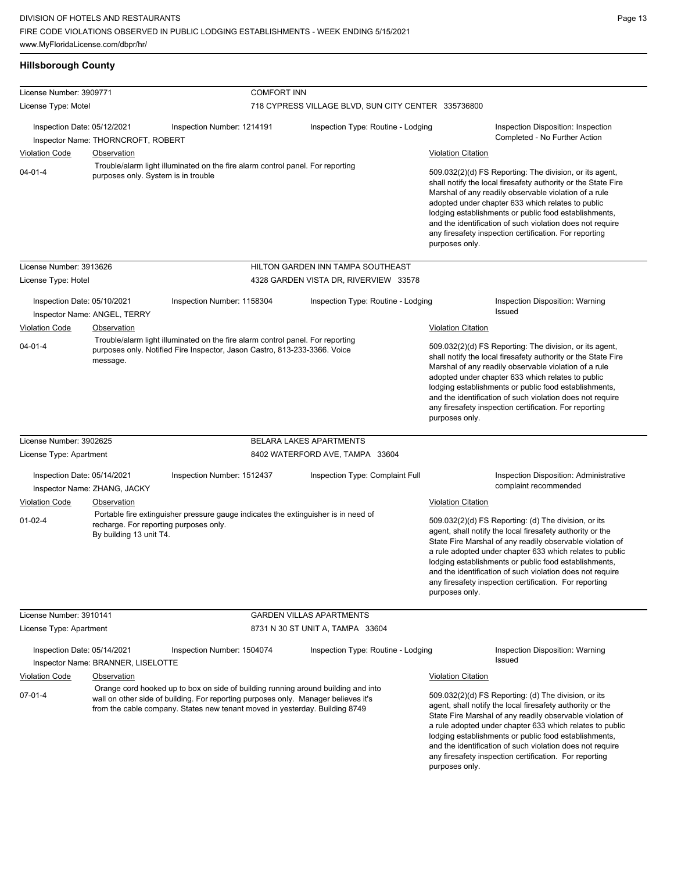| <b>Hillsborough County</b> |  |
|----------------------------|--|
|----------------------------|--|

| License Number: 3909771                |                                                                                  | <b>COMFORT INN</b>                                                                                                                                                                                                                                     |                                                     |                                                                                                                                                                                                                                                                                                                                                                                                                                          |                                                                                                                                                                                                                                                                                                                                                                                                                            |  |
|----------------------------------------|----------------------------------------------------------------------------------|--------------------------------------------------------------------------------------------------------------------------------------------------------------------------------------------------------------------------------------------------------|-----------------------------------------------------|------------------------------------------------------------------------------------------------------------------------------------------------------------------------------------------------------------------------------------------------------------------------------------------------------------------------------------------------------------------------------------------------------------------------------------------|----------------------------------------------------------------------------------------------------------------------------------------------------------------------------------------------------------------------------------------------------------------------------------------------------------------------------------------------------------------------------------------------------------------------------|--|
| License Type: Motel                    |                                                                                  |                                                                                                                                                                                                                                                        | 718 CYPRESS VILLAGE BLVD, SUN CITY CENTER 335736800 |                                                                                                                                                                                                                                                                                                                                                                                                                                          |                                                                                                                                                                                                                                                                                                                                                                                                                            |  |
| Inspection Date: 05/12/2021            | Inspector Name: THORNCROFT, ROBERT                                               | Inspection Number: 1214191                                                                                                                                                                                                                             | Inspection Type: Routine - Lodging                  |                                                                                                                                                                                                                                                                                                                                                                                                                                          | Inspection Disposition: Inspection<br>Completed - No Further Action                                                                                                                                                                                                                                                                                                                                                        |  |
| <b>Violation Code</b>                  | <b>Observation</b>                                                               |                                                                                                                                                                                                                                                        |                                                     | <b>Violation Citation</b>                                                                                                                                                                                                                                                                                                                                                                                                                |                                                                                                                                                                                                                                                                                                                                                                                                                            |  |
| $04 - 01 - 4$                          | purposes only. System is in trouble                                              | Trouble/alarm light illuminated on the fire alarm control panel. For reporting                                                                                                                                                                         |                                                     | 509.032(2)(d) FS Reporting: The division, or its agent,<br>shall notify the local firesafety authority or the State Fire<br>Marshal of any readily observable violation of a rule<br>adopted under chapter 633 which relates to public<br>lodging establishments or public food establishments,<br>and the identification of such violation does not require<br>any firesafety inspection certification. For reporting<br>purposes only. |                                                                                                                                                                                                                                                                                                                                                                                                                            |  |
| License Number: 3913626                |                                                                                  |                                                                                                                                                                                                                                                        | HILTON GARDEN INN TAMPA SOUTHEAST                   |                                                                                                                                                                                                                                                                                                                                                                                                                                          |                                                                                                                                                                                                                                                                                                                                                                                                                            |  |
| License Type: Hotel                    |                                                                                  |                                                                                                                                                                                                                                                        | 4328 GARDEN VISTA DR, RIVERVIEW 33578               |                                                                                                                                                                                                                                                                                                                                                                                                                                          |                                                                                                                                                                                                                                                                                                                                                                                                                            |  |
| Inspection Date: 05/10/2021            | Inspector Name: ANGEL, TERRY                                                     | Inspection Number: 1158304                                                                                                                                                                                                                             | Inspection Type: Routine - Lodging                  |                                                                                                                                                                                                                                                                                                                                                                                                                                          | Inspection Disposition: Warning<br>Issued                                                                                                                                                                                                                                                                                                                                                                                  |  |
| <b>Violation Code</b>                  | Observation                                                                      |                                                                                                                                                                                                                                                        |                                                     | <b>Violation Citation</b>                                                                                                                                                                                                                                                                                                                                                                                                                |                                                                                                                                                                                                                                                                                                                                                                                                                            |  |
| $04 - 01 - 4$                          | message.                                                                         | Trouble/alarm light illuminated on the fire alarm control panel. For reporting<br>purposes only. Notified Fire Inspector, Jason Castro, 813-233-3366. Voice                                                                                            |                                                     | 509.032(2)(d) FS Reporting: The division, or its agent,<br>shall notify the local firesafety authority or the State Fire<br>Marshal of any readily observable violation of a rule<br>adopted under chapter 633 which relates to public<br>lodging establishments or public food establishments,<br>and the identification of such violation does not require<br>any firesafety inspection certification. For reporting<br>purposes only. |                                                                                                                                                                                                                                                                                                                                                                                                                            |  |
| License Number: 3902625                |                                                                                  |                                                                                                                                                                                                                                                        | <b>BELARA LAKES APARTMENTS</b>                      |                                                                                                                                                                                                                                                                                                                                                                                                                                          |                                                                                                                                                                                                                                                                                                                                                                                                                            |  |
| License Type: Apartment                |                                                                                  |                                                                                                                                                                                                                                                        | 8402 WATERFORD AVE, TAMPA 33604                     |                                                                                                                                                                                                                                                                                                                                                                                                                                          |                                                                                                                                                                                                                                                                                                                                                                                                                            |  |
| Inspection Date: 05/14/2021            |                                                                                  | Inspection Number: 1512437                                                                                                                                                                                                                             | Inspection Type: Complaint Full                     |                                                                                                                                                                                                                                                                                                                                                                                                                                          | <b>Inspection Disposition: Administrative</b>                                                                                                                                                                                                                                                                                                                                                                              |  |
|                                        | Inspector Name: ZHANG, JACKY                                                     |                                                                                                                                                                                                                                                        |                                                     |                                                                                                                                                                                                                                                                                                                                                                                                                                          | complaint recommended                                                                                                                                                                                                                                                                                                                                                                                                      |  |
| <b>Violation Code</b><br>$01 - 02 - 4$ | Observation<br>recharge. For reporting purposes only.<br>By building 13 unit T4. | Portable fire extinguisher pressure gauge indicates the extinguisher is in need of                                                                                                                                                                     |                                                     | <b>Violation Citation</b><br>purposes only.                                                                                                                                                                                                                                                                                                                                                                                              | 509.032(2)(d) FS Reporting: (d) The division, or its<br>agent, shall notify the local firesafety authority or the<br>State Fire Marshal of any readily observable violation of<br>a rule adopted under chapter 633 which relates to public<br>lodging establishments or public food establishments,<br>and the identification of such violation does not require<br>any firesafety inspection certification. For reporting |  |
| License Number: 3910141                |                                                                                  |                                                                                                                                                                                                                                                        | <b>GARDEN VILLAS APARTMENTS</b>                     |                                                                                                                                                                                                                                                                                                                                                                                                                                          |                                                                                                                                                                                                                                                                                                                                                                                                                            |  |
| License Type: Apartment                |                                                                                  |                                                                                                                                                                                                                                                        | 8731 N 30 ST UNIT A, TAMPA 33604                    |                                                                                                                                                                                                                                                                                                                                                                                                                                          |                                                                                                                                                                                                                                                                                                                                                                                                                            |  |
| Inspection Date: 05/14/2021            | Inspector Name: BRANNER, LISELOTTE                                               | Inspection Number: 1504074                                                                                                                                                                                                                             | Inspection Type: Routine - Lodging                  |                                                                                                                                                                                                                                                                                                                                                                                                                                          | Inspection Disposition: Warning<br><b>Issued</b>                                                                                                                                                                                                                                                                                                                                                                           |  |
| <b>Violation Code</b>                  | Observation                                                                      |                                                                                                                                                                                                                                                        |                                                     | <b>Violation Citation</b>                                                                                                                                                                                                                                                                                                                                                                                                                |                                                                                                                                                                                                                                                                                                                                                                                                                            |  |
| $07 - 01 - 4$                          |                                                                                  | Orange cord hooked up to box on side of building running around building and into<br>wall on other side of building. For reporting purposes only. Manager believes it's<br>from the cable company. States new tenant moved in yesterday. Building 8749 |                                                     | purposes only.                                                                                                                                                                                                                                                                                                                                                                                                                           | 509.032(2)(d) FS Reporting: (d) The division, or its<br>agent, shall notify the local firesafety authority or the<br>State Fire Marshal of any readily observable violation of<br>a rule adopted under chapter 633 which relates to public<br>lodging establishments or public food establishments,<br>and the identification of such violation does not require<br>any firesafety inspection certification. For reporting |  |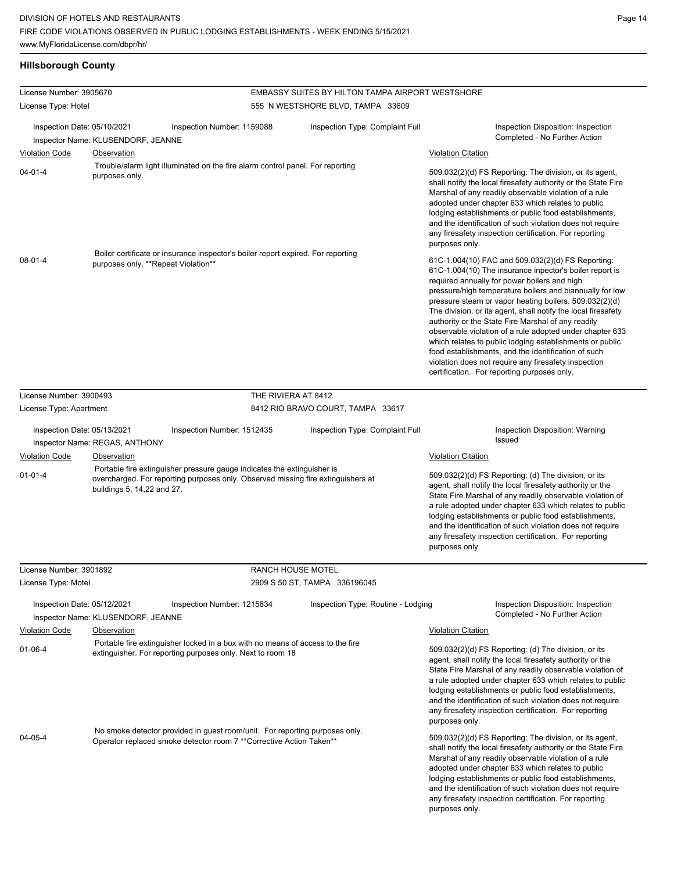# **Hillsborough County**

| License Number: 3905670     |                                     |                                                                                                                                                             | EMBASSY SUITES BY HILTON TAMPA AIRPORT WESTSHORE |                                                                                                                                                                                                                                                                                                                                                                                                                                                                                                                                                                                                                                                                                                 |  |  |
|-----------------------------|-------------------------------------|-------------------------------------------------------------------------------------------------------------------------------------------------------------|--------------------------------------------------|-------------------------------------------------------------------------------------------------------------------------------------------------------------------------------------------------------------------------------------------------------------------------------------------------------------------------------------------------------------------------------------------------------------------------------------------------------------------------------------------------------------------------------------------------------------------------------------------------------------------------------------------------------------------------------------------------|--|--|
| License Type: Hotel         |                                     |                                                                                                                                                             | 555 N WESTSHORE BLVD, TAMPA 33609                |                                                                                                                                                                                                                                                                                                                                                                                                                                                                                                                                                                                                                                                                                                 |  |  |
|                             |                                     |                                                                                                                                                             |                                                  |                                                                                                                                                                                                                                                                                                                                                                                                                                                                                                                                                                                                                                                                                                 |  |  |
| Inspection Date: 05/10/2021 | Inspector Name: KLUSENDORF, JEANNE  | Inspection Number: 1159088                                                                                                                                  | Inspection Type: Complaint Full                  | Inspection Disposition: Inspection<br>Completed - No Further Action                                                                                                                                                                                                                                                                                                                                                                                                                                                                                                                                                                                                                             |  |  |
| <b>Violation Code</b>       | Observation                         |                                                                                                                                                             |                                                  | <b>Violation Citation</b>                                                                                                                                                                                                                                                                                                                                                                                                                                                                                                                                                                                                                                                                       |  |  |
| $04 - 01 - 4$               | purposes only.                      | Trouble/alarm light illuminated on the fire alarm control panel. For reporting                                                                              |                                                  | 509.032(2)(d) FS Reporting: The division, or its agent,<br>shall notify the local firesafety authority or the State Fire<br>Marshal of any readily observable violation of a rule<br>adopted under chapter 633 which relates to public<br>lodging establishments or public food establishments,<br>and the identification of such violation does not require<br>any firesafety inspection certification. For reporting<br>purposes only.                                                                                                                                                                                                                                                        |  |  |
| $08 - 01 - 4$               | purposes only. **Repeat Violation** | Boiler certificate or insurance inspector's boiler report expired. For reporting                                                                            |                                                  | 61C-1.004(10) FAC and 509.032(2)(d) FS Reporting:<br>61C-1.004(10) The insurance inpector's boiler report is<br>required annually for power boilers and high<br>pressure/high temperature boilers and biannually for low<br>pressure steam or vapor heating boilers. 509.032(2)(d)<br>The division, or its agent, shall notify the local firesafety<br>authority or the State Fire Marshal of any readily<br>observable violation of a rule adopted under chapter 633<br>which relates to public lodging establishments or public<br>food establishments, and the identification of such<br>violation does not require any firesafety inspection<br>certification. For reporting purposes only. |  |  |
|                             | License Number: 3900493             |                                                                                                                                                             | THE RIVIERA AT 8412                              |                                                                                                                                                                                                                                                                                                                                                                                                                                                                                                                                                                                                                                                                                                 |  |  |
| License Type: Apartment     |                                     |                                                                                                                                                             | 8412 RIO BRAVO COURT, TAMPA 33617                |                                                                                                                                                                                                                                                                                                                                                                                                                                                                                                                                                                                                                                                                                                 |  |  |
|                             |                                     |                                                                                                                                                             |                                                  |                                                                                                                                                                                                                                                                                                                                                                                                                                                                                                                                                                                                                                                                                                 |  |  |
| Inspection Date: 05/13/2021 | Inspector Name: REGAS, ANTHONY      | Inspection Number: 1512435                                                                                                                                  | Inspection Type: Complaint Full                  | Inspection Disposition: Warning<br>Issued                                                                                                                                                                                                                                                                                                                                                                                                                                                                                                                                                                                                                                                       |  |  |
| <b>Violation Code</b>       | Observation                         |                                                                                                                                                             |                                                  | <b>Violation Citation</b>                                                                                                                                                                                                                                                                                                                                                                                                                                                                                                                                                                                                                                                                       |  |  |
| $01 - 01 - 4$               | buildings 5, 14,22 and 27.          | Portable fire extinguisher pressure gauge indicates the extinguisher is<br>overcharged. For reporting purposes only. Observed missing fire extinguishers at |                                                  | 509.032(2)(d) FS Reporting: (d) The division, or its<br>agent, shall notify the local firesafety authority or the<br>State Fire Marshal of any readily observable violation of<br>a rule adopted under chapter 633 which relates to public<br>lodging establishments or public food establishments,<br>and the identification of such violation does not require<br>any firesafety inspection certification. For reporting<br>purposes only.                                                                                                                                                                                                                                                    |  |  |
| License Number: 3901892     |                                     |                                                                                                                                                             | <b>RANCH HOUSE MOTEL</b>                         |                                                                                                                                                                                                                                                                                                                                                                                                                                                                                                                                                                                                                                                                                                 |  |  |
| License Type: Motel         |                                     |                                                                                                                                                             | 2909 S 50 ST, TAMPA 336196045                    |                                                                                                                                                                                                                                                                                                                                                                                                                                                                                                                                                                                                                                                                                                 |  |  |
| Inspection Date: 05/12/2021 | Inspector Name: KLUSENDORF, JEANNE  | Inspection Number: 1215834                                                                                                                                  | Inspection Type: Routine - Lodging               | Inspection Disposition: Inspection<br>Completed - No Further Action                                                                                                                                                                                                                                                                                                                                                                                                                                                                                                                                                                                                                             |  |  |
| <b>Violation Code</b>       | Observation                         |                                                                                                                                                             |                                                  | <b>Violation Citation</b>                                                                                                                                                                                                                                                                                                                                                                                                                                                                                                                                                                                                                                                                       |  |  |
| $01 - 06 - 4$               |                                     | Portable fire extinguisher locked in a box with no means of access to the fire<br>extinguisher. For reporting purposes only. Next to room 18                |                                                  | 509.032(2)(d) FS Reporting: (d) The division, or its<br>agent, shall notify the local firesafety authority or the<br>State Fire Marshal of any readily observable violation of<br>a rule adopted under chapter 633 which relates to public<br>lodging establishments or public food establishments,<br>and the identification of such violation does not require<br>any firesafety inspection certification. For reporting<br>purposes only.                                                                                                                                                                                                                                                    |  |  |
| 04-05-4                     |                                     | No smoke detector provided in guest room/unit. For reporting purposes only.<br>Operator replaced smoke detector room 7 ** Corrective Action Taken**         |                                                  | 509.032(2)(d) FS Reporting: The division, or its agent,<br>shall notify the local firesafety authority or the State Fire<br>Marshal of any readily observable violation of a rule<br>adopted under chapter 633 which relates to public<br>lodging establishments or public food establishments,<br>and the identification of such violation does not require<br>any firesafety inspection certification. For reporting<br>purposes only.                                                                                                                                                                                                                                                        |  |  |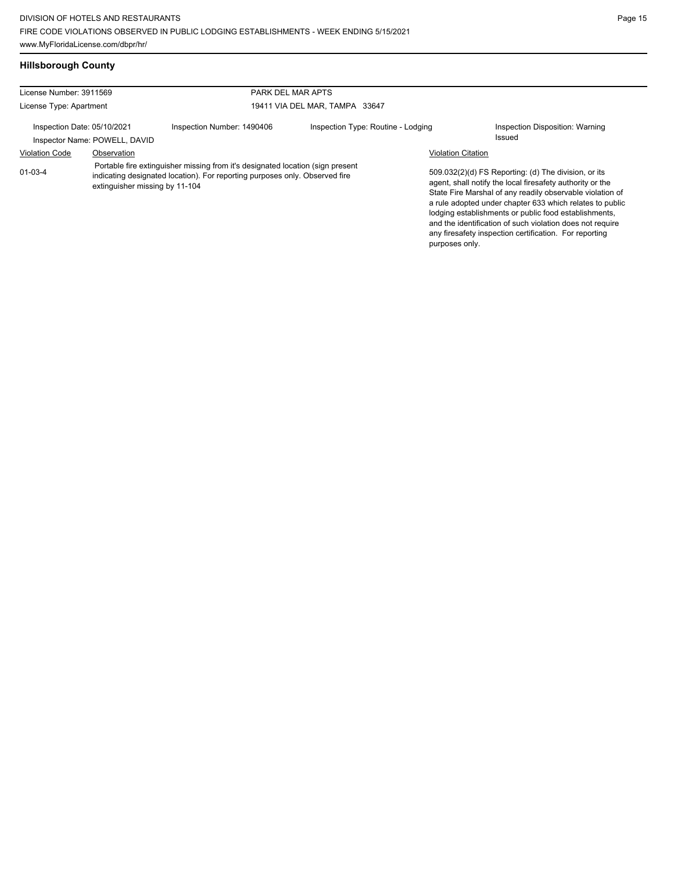| License Number: 3911569                                      |                                | PARK DEL MAR APTS                                                                                                                                              |                                    |                           |                                                                                                                                                                                                                                                                                                                                                                                                                            |
|--------------------------------------------------------------|--------------------------------|----------------------------------------------------------------------------------------------------------------------------------------------------------------|------------------------------------|---------------------------|----------------------------------------------------------------------------------------------------------------------------------------------------------------------------------------------------------------------------------------------------------------------------------------------------------------------------------------------------------------------------------------------------------------------------|
| License Type: Apartment                                      |                                |                                                                                                                                                                | 19411 VIA DEL MAR, TAMPA 33647     |                           |                                                                                                                                                                                                                                                                                                                                                                                                                            |
| Inspection Date: 05/10/2021<br>Inspector Name: POWELL, DAVID |                                | Inspection Number: 1490406                                                                                                                                     | Inspection Type: Routine - Lodging |                           | Inspection Disposition: Warning<br>Issued                                                                                                                                                                                                                                                                                                                                                                                  |
| <b>Violation Code</b>                                        | Observation                    |                                                                                                                                                                |                                    | <b>Violation Citation</b> |                                                                                                                                                                                                                                                                                                                                                                                                                            |
| $01 - 03 - 4$                                                | extinguisher missing by 11-104 | Portable fire extinguisher missing from it's designated location (sign present)<br>indicating designated location). For reporting purposes only. Observed fire |                                    |                           | 509.032(2)(d) FS Reporting: (d) The division, or its<br>agent, shall notify the local firesafety authority or the<br>State Fire Marshal of any readily observable violation of<br>a rule adopted under chapter 633 which relates to public<br>lodging establishments or public food establishments,<br>and the identification of such violation does not require<br>any firesafety inspection certification. For reporting |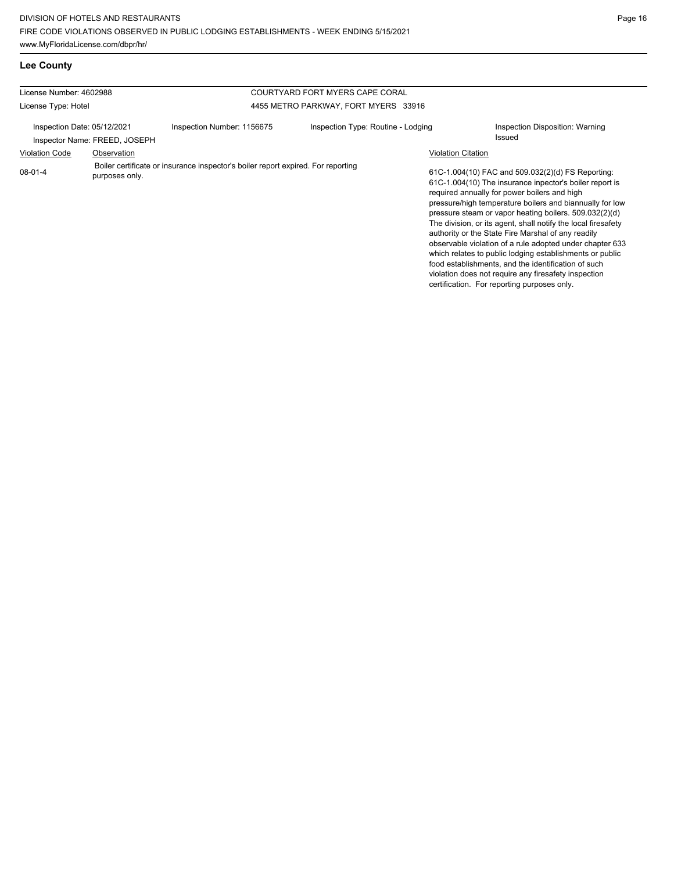**Lee County**

| License Number: 4602988                                      |  |                                                                                  | COURTYARD FORT MYERS CAPE CORAL      |  |                                                                                                                                                                                                                                                                                                                                                                                                                                                                                                                                                                                                                                                                                                                              |  |
|--------------------------------------------------------------|--|----------------------------------------------------------------------------------|--------------------------------------|--|------------------------------------------------------------------------------------------------------------------------------------------------------------------------------------------------------------------------------------------------------------------------------------------------------------------------------------------------------------------------------------------------------------------------------------------------------------------------------------------------------------------------------------------------------------------------------------------------------------------------------------------------------------------------------------------------------------------------------|--|
| License Type: Hotel                                          |  |                                                                                  | 4455 METRO PARKWAY, FORT MYERS 33916 |  |                                                                                                                                                                                                                                                                                                                                                                                                                                                                                                                                                                                                                                                                                                                              |  |
| Inspection Date: 05/12/2021<br>Inspector Name: FREED, JOSEPH |  | Inspection Number: 1156675                                                       | Inspection Type: Routine - Lodging   |  | Inspection Disposition: Warning<br>Issued                                                                                                                                                                                                                                                                                                                                                                                                                                                                                                                                                                                                                                                                                    |  |
| <b>Violation Code</b><br>Observation                         |  |                                                                                  |                                      |  |                                                                                                                                                                                                                                                                                                                                                                                                                                                                                                                                                                                                                                                                                                                              |  |
| 08-01-4<br>purposes only.                                    |  | Boiler certificate or insurance inspector's boiler report expired. For reporting |                                      |  | <b>Violation Citation</b><br>61C-1.004(10) FAC and 509.032(2)(d) FS Reporting:<br>61C-1.004(10) The insurance inpector's boiler report is<br>required annually for power boilers and high<br>pressure/high temperature boilers and biannually for low<br>pressure steam or vapor heating boilers. 509.032(2)(d)<br>The division, or its agent, shall notify the local firesafety<br>authority or the State Fire Marshal of any readily<br>observable violation of a rule adopted under chapter 633<br>which relates to public lodging establishments or public<br>food establishments, and the identification of such<br>violation does not require any firesafety inspection<br>certification. For reporting purposes only. |  |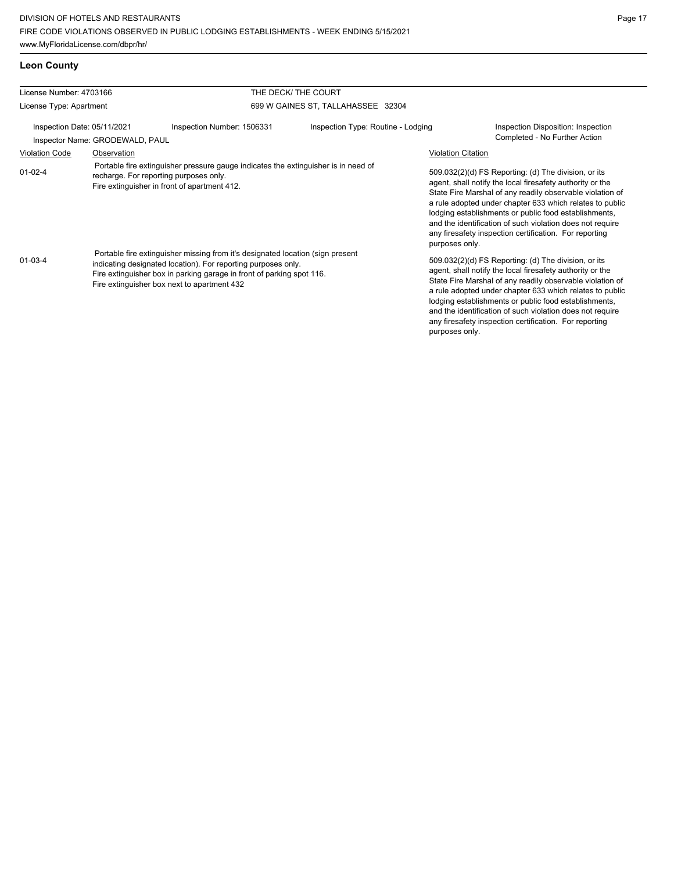**Leon County**

| License Number: 4703166<br>License Type: Apartment                                                                                                                                                                                                                                       |                                        | THE DECK/ THE COURT                                                                                                                |                                                                                                                                                                                                                                                                                                                                                                                                                                              |                                                                                                                                                                                                                                                                                                                                                                                                                                              |
|------------------------------------------------------------------------------------------------------------------------------------------------------------------------------------------------------------------------------------------------------------------------------------------|----------------------------------------|------------------------------------------------------------------------------------------------------------------------------------|----------------------------------------------------------------------------------------------------------------------------------------------------------------------------------------------------------------------------------------------------------------------------------------------------------------------------------------------------------------------------------------------------------------------------------------------|----------------------------------------------------------------------------------------------------------------------------------------------------------------------------------------------------------------------------------------------------------------------------------------------------------------------------------------------------------------------------------------------------------------------------------------------|
|                                                                                                                                                                                                                                                                                          |                                        |                                                                                                                                    | 699 W GAINES ST, TALLAHASSEE 32304                                                                                                                                                                                                                                                                                                                                                                                                           |                                                                                                                                                                                                                                                                                                                                                                                                                                              |
| Inspection Date: 05/11/2021<br>Inspector Name: GRODEWALD, PAUL                                                                                                                                                                                                                           |                                        | Inspection Type: Routine - Lodging<br>Inspection Number: 1506331                                                                   |                                                                                                                                                                                                                                                                                                                                                                                                                                              | Inspection Disposition: Inspection<br>Completed - No Further Action                                                                                                                                                                                                                                                                                                                                                                          |
| <b>Violation Code</b>                                                                                                                                                                                                                                                                    | Observation                            |                                                                                                                                    |                                                                                                                                                                                                                                                                                                                                                                                                                                              | <b>Violation Citation</b>                                                                                                                                                                                                                                                                                                                                                                                                                    |
| $01 - 02 - 4$                                                                                                                                                                                                                                                                            | recharge. For reporting purposes only. | Portable fire extinguisher pressure gauge indicates the extinguisher is in need of<br>Fire extinguisher in front of apartment 412. |                                                                                                                                                                                                                                                                                                                                                                                                                                              | 509.032(2)(d) FS Reporting: (d) The division, or its<br>agent, shall notify the local firesafety authority or the<br>State Fire Marshal of any readily observable violation of<br>a rule adopted under chapter 633 which relates to public<br>lodging establishments or public food establishments,<br>and the identification of such violation does not require<br>any firesafety inspection certification. For reporting<br>purposes only. |
| Portable fire extinguisher missing from it's designated location (sign present<br>$01 - 03 - 4$<br>indicating designated location). For reporting purposes only.<br>Fire extinguisher box in parking garage in front of parking spot 116.<br>Fire extinguisher box next to apartment 432 |                                        |                                                                                                                                    | 509.032(2)(d) FS Reporting: (d) The division, or its<br>agent, shall notify the local firesafety authority or the<br>State Fire Marshal of any readily observable violation of<br>a rule adopted under chapter 633 which relates to public<br>lodging establishments or public food establishments,<br>and the identification of such violation does not require<br>any firesafety inspection certification. For reporting<br>purposes only. |                                                                                                                                                                                                                                                                                                                                                                                                                                              |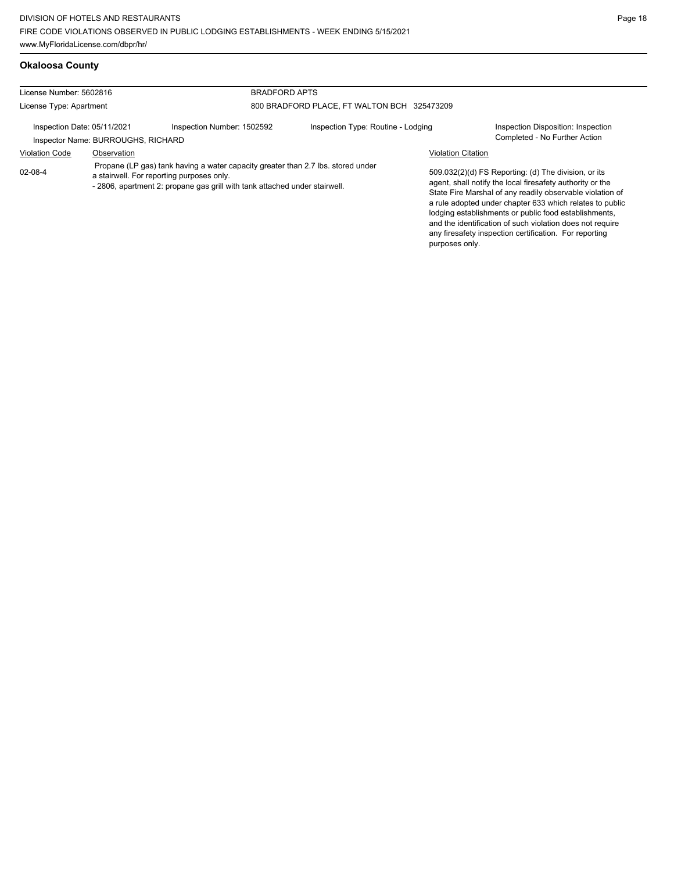**Okaloosa County**

any firesafety inspection certification. For reporting

| License Number: 5602816                                                                      |                                                                                                                                                                                                             | <b>BRADFORD APTS</b>       |                                             |                           |                                                                                                                                                                                                                                                                                                                                                                  |
|----------------------------------------------------------------------------------------------|-------------------------------------------------------------------------------------------------------------------------------------------------------------------------------------------------------------|----------------------------|---------------------------------------------|---------------------------|------------------------------------------------------------------------------------------------------------------------------------------------------------------------------------------------------------------------------------------------------------------------------------------------------------------------------------------------------------------|
| License Type: Apartment<br>Inspection Date: 05/11/2021<br>Inspector Name: BURROUGHS, RICHARD |                                                                                                                                                                                                             |                            | 800 BRADFORD PLACE, FT WALTON BCH 325473209 |                           |                                                                                                                                                                                                                                                                                                                                                                  |
|                                                                                              |                                                                                                                                                                                                             | Inspection Number: 1502592 | Inspection Type: Routine - Lodging          |                           | Inspection Disposition: Inspection<br>Completed - No Further Action                                                                                                                                                                                                                                                                                              |
| <b>Violation Code</b>                                                                        | Observation                                                                                                                                                                                                 |                            |                                             | <b>Violation Citation</b> |                                                                                                                                                                                                                                                                                                                                                                  |
| $02 - 08 - 4$                                                                                | Propane (LP gas) tank having a water capacity greater than 2.7 lbs. stored under<br>a stairwell. For reporting purposes only.<br>- 2806, apartment 2: propane gas grill with tank attached under stairwell. |                            |                                             |                           | 509.032(2)(d) FS Reporting: (d) The division, or its<br>agent, shall notify the local firesafety authority or the<br>State Fire Marshal of any readily observable violation of<br>a rule adopted under chapter 633 which relates to public<br>lodging establishments or public food establishments,<br>and the identification of such violation does not require |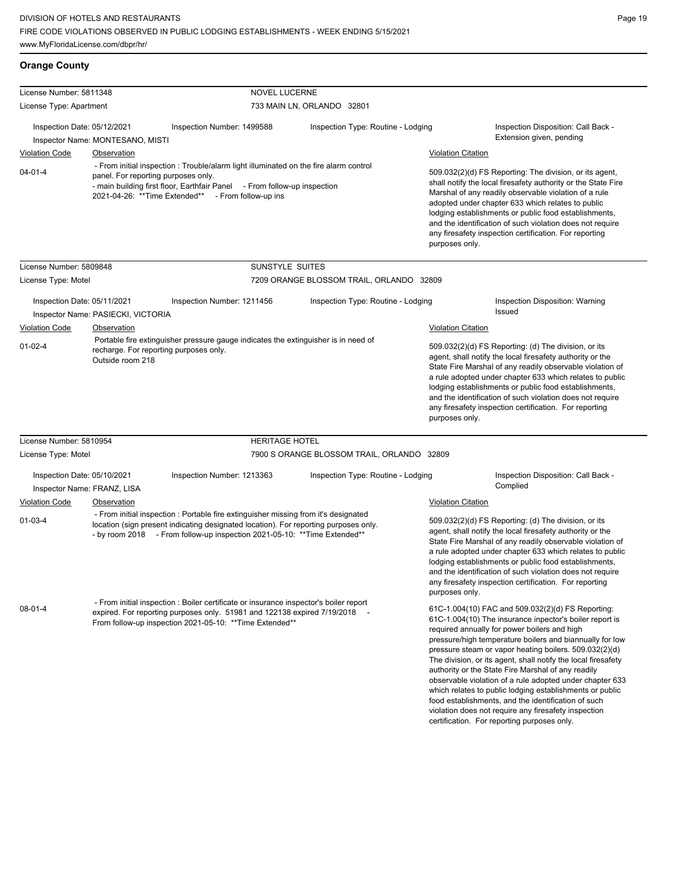**Orange County**

| License Number: 5811348                                                                                                                                           |                                                   |                                                                                                                                                                                                                                                                | <b>NOVEL LUCERNE</b>                                                                                                                                                                                                                                                                                                                                                                                                                         |                                             |                                                                                                                                                                                                                                                                                                                                                                                                                                                                                                                                                                                                                                                  |  |  |
|-------------------------------------------------------------------------------------------------------------------------------------------------------------------|---------------------------------------------------|----------------------------------------------------------------------------------------------------------------------------------------------------------------------------------------------------------------------------------------------------------------|----------------------------------------------------------------------------------------------------------------------------------------------------------------------------------------------------------------------------------------------------------------------------------------------------------------------------------------------------------------------------------------------------------------------------------------------|---------------------------------------------|--------------------------------------------------------------------------------------------------------------------------------------------------------------------------------------------------------------------------------------------------------------------------------------------------------------------------------------------------------------------------------------------------------------------------------------------------------------------------------------------------------------------------------------------------------------------------------------------------------------------------------------------------|--|--|
| License Type: Apartment                                                                                                                                           |                                                   |                                                                                                                                                                                                                                                                | 733 MAIN LN, ORLANDO 32801                                                                                                                                                                                                                                                                                                                                                                                                                   |                                             |                                                                                                                                                                                                                                                                                                                                                                                                                                                                                                                                                                                                                                                  |  |  |
| Inspection Date: 05/12/2021                                                                                                                                       | Inspector Name: MONTESANO, MISTI                  | Inspection Number: 1499588                                                                                                                                                                                                                                     | Inspection Type: Routine - Lodging                                                                                                                                                                                                                                                                                                                                                                                                           |                                             | Inspection Disposition: Call Back -<br>Extension given, pending                                                                                                                                                                                                                                                                                                                                                                                                                                                                                                                                                                                  |  |  |
| <b>Violation Code</b>                                                                                                                                             | Observation                                       |                                                                                                                                                                                                                                                                |                                                                                                                                                                                                                                                                                                                                                                                                                                              | <b>Violation Citation</b>                   |                                                                                                                                                                                                                                                                                                                                                                                                                                                                                                                                                                                                                                                  |  |  |
| $04 - 01 - 4$                                                                                                                                                     |                                                   | - From initial inspection : Trouble/alarm light illuminated on the fire alarm control<br>panel. For reporting purposes only.<br>- main building first floor, Earthfair Panel - From follow-up inspection<br>2021-04-26: **Time Extended** - From follow-up ins |                                                                                                                                                                                                                                                                                                                                                                                                                                              |                                             | 509.032(2)(d) FS Reporting: The division, or its agent,<br>shall notify the local firesafety authority or the State Fire<br>Marshal of any readily observable violation of a rule<br>adopted under chapter 633 which relates to public<br>lodging establishments or public food establishments,<br>and the identification of such violation does not require<br>any firesafety inspection certification. For reporting<br>purposes only.                                                                                                                                                                                                         |  |  |
| License Number: 5809848                                                                                                                                           |                                                   | SUNSTYLE SUITES                                                                                                                                                                                                                                                |                                                                                                                                                                                                                                                                                                                                                                                                                                              |                                             |                                                                                                                                                                                                                                                                                                                                                                                                                                                                                                                                                                                                                                                  |  |  |
| License Type: Motel                                                                                                                                               |                                                   |                                                                                                                                                                                                                                                                | 7209 ORANGE BLOSSOM TRAIL, ORLANDO 32809                                                                                                                                                                                                                                                                                                                                                                                                     |                                             |                                                                                                                                                                                                                                                                                                                                                                                                                                                                                                                                                                                                                                                  |  |  |
| Inspection Date: 05/11/2021<br><b>Violation Code</b>                                                                                                              | Inspector Name: PASIECKI, VICTORIA<br>Observation | Inspection Number: 1211456                                                                                                                                                                                                                                     | Inspection Type: Routine - Lodging                                                                                                                                                                                                                                                                                                                                                                                                           | <b>Violation Citation</b>                   | Inspection Disposition: Warning<br><b>Issued</b>                                                                                                                                                                                                                                                                                                                                                                                                                                                                                                                                                                                                 |  |  |
| Portable fire extinguisher pressure gauge indicates the extinguisher is in need of<br>$01 - 02 - 4$<br>recharge. For reporting purposes only.<br>Outside room 218 |                                                   |                                                                                                                                                                                                                                                                | 509.032(2)(d) FS Reporting: (d) The division, or its<br>agent, shall notify the local firesafety authority or the<br>State Fire Marshal of any readily observable violation of<br>a rule adopted under chapter 633 which relates to public<br>lodging establishments or public food establishments,<br>and the identification of such violation does not require<br>any firesafety inspection certification. For reporting<br>purposes only. |                                             |                                                                                                                                                                                                                                                                                                                                                                                                                                                                                                                                                                                                                                                  |  |  |
| License Number: 5810954                                                                                                                                           |                                                   | <b>HERITAGE HOTEL</b>                                                                                                                                                                                                                                          |                                                                                                                                                                                                                                                                                                                                                                                                                                              |                                             |                                                                                                                                                                                                                                                                                                                                                                                                                                                                                                                                                                                                                                                  |  |  |
| License Type: Motel                                                                                                                                               |                                                   |                                                                                                                                                                                                                                                                | 7900 S ORANGE BLOSSOM TRAIL, ORLANDO 32809                                                                                                                                                                                                                                                                                                                                                                                                   |                                             |                                                                                                                                                                                                                                                                                                                                                                                                                                                                                                                                                                                                                                                  |  |  |
| Inspection Date: 05/10/2021                                                                                                                                       | Inspector Name: FRANZ, LISA                       | Inspection Number: 1213363                                                                                                                                                                                                                                     | Inspection Type: Routine - Lodging                                                                                                                                                                                                                                                                                                                                                                                                           |                                             | Inspection Disposition: Call Back -<br>Complied                                                                                                                                                                                                                                                                                                                                                                                                                                                                                                                                                                                                  |  |  |
| <b>Violation Code</b><br>01-03-4                                                                                                                                  | Observation                                       | - From initial inspection : Portable fire extinguisher missing from it's designated<br>location (sign present indicating designated location). For reporting purposes only.<br>- by room 2018 - From follow-up inspection 2021-05-10: **Time Extended**        |                                                                                                                                                                                                                                                                                                                                                                                                                                              | <b>Violation Citation</b><br>purposes only. | 509.032(2)(d) FS Reporting: (d) The division, or its<br>agent, shall notify the local firesafety authority or the<br>State Fire Marshal of any readily observable violation of<br>a rule adopted under chapter 633 which relates to public<br>lodging establishments or public food establishments,<br>and the identification of such violation does not require<br>any firesafety inspection certification. For reporting                                                                                                                                                                                                                       |  |  |
| $08 - 01 - 4$                                                                                                                                                     |                                                   | - From initial inspection : Boiler certificate or insurance inspector's boiler report<br>expired. For reporting purposes only. 51981 and 122138 expired 7/19/2018 -<br>From follow-up inspection 2021-05-10: ** Time Extended**                                |                                                                                                                                                                                                                                                                                                                                                                                                                                              |                                             | 61C-1.004(10) FAC and 509.032(2)(d) FS Reporting:<br>61C-1.004(10) The insurance inpector's boiler report is<br>required annually for power boilers and high<br>pressure/high temperature boilers and biannually for low<br>pressure steam or vapor heating boilers. 509.032(2)(d)<br>The division, or its agent, shall notify the local firesafety<br>authority or the State Fire Marshal of any readily<br>observable violation of a rule adopted under chapter 633<br>which relates to public lodging establishments or public<br>food establishments, and the identification of such<br>violation does not require any firesafety inspection |  |  |

certification. For reporting purposes only.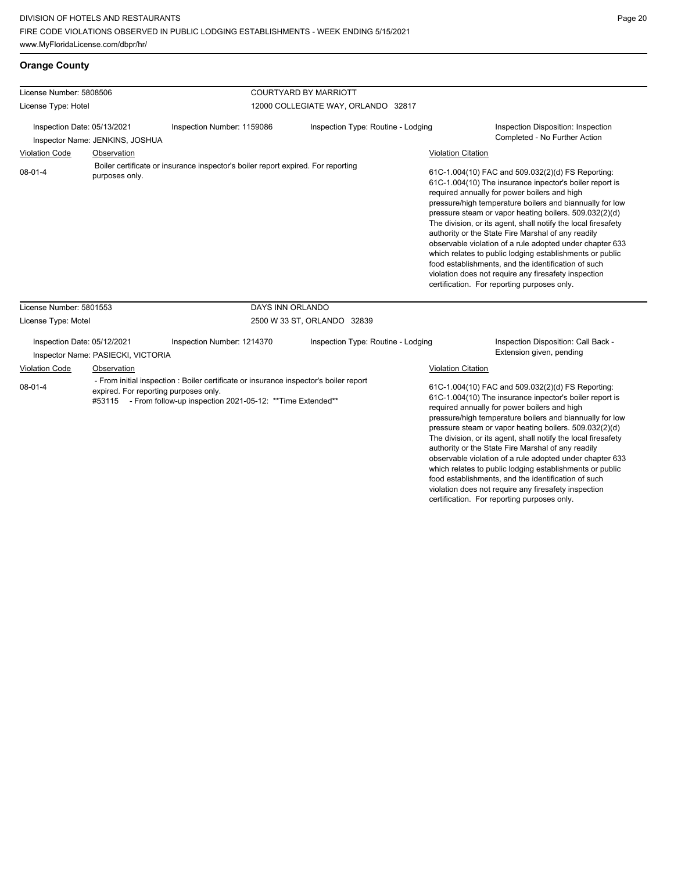food establishments, and the identification of such violation does not require any firesafety inspection certification. For reporting purposes only.

| <b>Orange County</b> |  |
|----------------------|--|
|                      |  |

| License Number: 5808506                                                                                                                                                                                                                                  |                                    |                                                                                  | <b>COURTYARD BY MARRIOTT</b>       |                                                                                                                                                                                                                                                                                                                                                                                                                                                                                                                                   |                                                                                                                                                                                                                                                                                                                                                                                                                                                                                                                                                                                                                                                                                                 |  |  |
|----------------------------------------------------------------------------------------------------------------------------------------------------------------------------------------------------------------------------------------------------------|------------------------------------|----------------------------------------------------------------------------------|------------------------------------|-----------------------------------------------------------------------------------------------------------------------------------------------------------------------------------------------------------------------------------------------------------------------------------------------------------------------------------------------------------------------------------------------------------------------------------------------------------------------------------------------------------------------------------|-------------------------------------------------------------------------------------------------------------------------------------------------------------------------------------------------------------------------------------------------------------------------------------------------------------------------------------------------------------------------------------------------------------------------------------------------------------------------------------------------------------------------------------------------------------------------------------------------------------------------------------------------------------------------------------------------|--|--|
| License Type: Hotel                                                                                                                                                                                                                                      |                                    | 12000 COLLEGIATE WAY, ORLANDO 32817                                              |                                    |                                                                                                                                                                                                                                                                                                                                                                                                                                                                                                                                   |                                                                                                                                                                                                                                                                                                                                                                                                                                                                                                                                                                                                                                                                                                 |  |  |
| Inspection Date: 05/13/2021<br>Inspector Name: JENKINS, JOSHUA                                                                                                                                                                                           |                                    | Inspection Number: 1159086                                                       | Inspection Type: Routine - Lodging |                                                                                                                                                                                                                                                                                                                                                                                                                                                                                                                                   | Inspection Disposition: Inspection<br>Completed - No Further Action                                                                                                                                                                                                                                                                                                                                                                                                                                                                                                                                                                                                                             |  |  |
| <b>Violation Code</b>                                                                                                                                                                                                                                    | Observation                        |                                                                                  |                                    | <b>Violation Citation</b>                                                                                                                                                                                                                                                                                                                                                                                                                                                                                                         |                                                                                                                                                                                                                                                                                                                                                                                                                                                                                                                                                                                                                                                                                                 |  |  |
| $08-01-4$                                                                                                                                                                                                                                                | purposes only.                     | Boiler certificate or insurance inspector's boiler report expired. For reporting |                                    |                                                                                                                                                                                                                                                                                                                                                                                                                                                                                                                                   | 61C-1.004(10) FAC and 509.032(2)(d) FS Reporting:<br>61C-1.004(10) The insurance inpector's boiler report is<br>required annually for power boilers and high<br>pressure/high temperature boilers and biannually for low<br>pressure steam or vapor heating boilers. 509.032(2)(d)<br>The division, or its agent, shall notify the local firesafety<br>authority or the State Fire Marshal of any readily<br>observable violation of a rule adopted under chapter 633<br>which relates to public lodging establishments or public<br>food establishments, and the identification of such<br>violation does not require any firesafety inspection<br>certification. For reporting purposes only. |  |  |
| License Number: 5801553                                                                                                                                                                                                                                  |                                    | DAYS INN ORLANDO                                                                 |                                    |                                                                                                                                                                                                                                                                                                                                                                                                                                                                                                                                   |                                                                                                                                                                                                                                                                                                                                                                                                                                                                                                                                                                                                                                                                                                 |  |  |
| License Type: Motel                                                                                                                                                                                                                                      |                                    |                                                                                  | 2500 W 33 ST, ORLANDO 32839        |                                                                                                                                                                                                                                                                                                                                                                                                                                                                                                                                   |                                                                                                                                                                                                                                                                                                                                                                                                                                                                                                                                                                                                                                                                                                 |  |  |
| Inspection Date: 05/12/2021                                                                                                                                                                                                                              | Inspector Name: PASIECKI, VICTORIA | Inspection Number: 1214370                                                       | Inspection Type: Routine - Lodging |                                                                                                                                                                                                                                                                                                                                                                                                                                                                                                                                   | Inspection Disposition: Call Back -<br>Extension given, pending                                                                                                                                                                                                                                                                                                                                                                                                                                                                                                                                                                                                                                 |  |  |
| <b>Violation Code</b><br>Observation<br>- From initial inspection : Boiler certificate or insurance inspector's boiler report<br>$08-01-4$<br>expired. For reporting purposes only.<br>#53115 - From follow-up inspection 2021-05-12: ** Time Extended** |                                    |                                                                                  | <b>Violation Citation</b>          | 61C-1.004(10) FAC and 509.032(2)(d) FS Reporting:<br>61C-1.004(10) The insurance inpector's boiler report is<br>required annually for power boilers and high<br>pressure/high temperature boilers and biannually for low<br>pressure steam or vapor heating boilers. 509.032(2)(d)<br>The division, or its agent, shall notify the local firesafety<br>authority or the State Fire Marshal of any readily<br>observable violation of a rule adopted under chapter 633<br>which relates to public lodging establishments or public |                                                                                                                                                                                                                                                                                                                                                                                                                                                                                                                                                                                                                                                                                                 |  |  |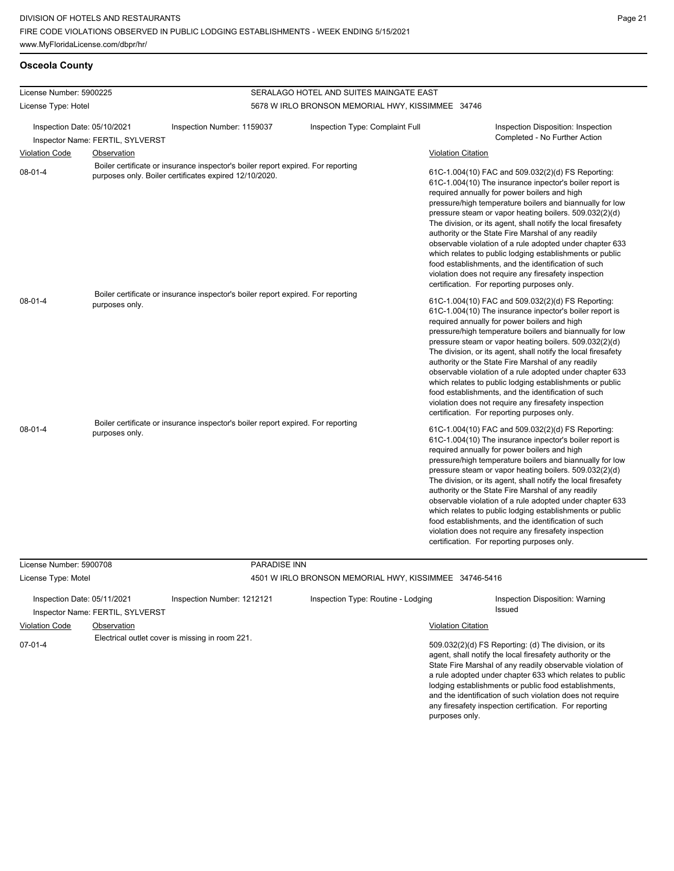#### **Osceola County**

| License Number: 5900225     |                                  |                                                                                                                                            | SERALAGO HOTEL AND SUITES MAINGATE EAST                |                           |                                                                                                                                                                                                                                                                                                                                                                                                                                                                                                                                                                                                                                                                                                 |
|-----------------------------|----------------------------------|--------------------------------------------------------------------------------------------------------------------------------------------|--------------------------------------------------------|---------------------------|-------------------------------------------------------------------------------------------------------------------------------------------------------------------------------------------------------------------------------------------------------------------------------------------------------------------------------------------------------------------------------------------------------------------------------------------------------------------------------------------------------------------------------------------------------------------------------------------------------------------------------------------------------------------------------------------------|
| License Type: Hotel         |                                  |                                                                                                                                            | 5678 W IRLO BRONSON MEMORIAL HWY, KISSIMMEE 34746      |                           |                                                                                                                                                                                                                                                                                                                                                                                                                                                                                                                                                                                                                                                                                                 |
| Inspection Date: 05/10/2021 | Inspector Name: FERTIL, SYLVERST | Inspection Number: 1159037                                                                                                                 | Inspection Type: Complaint Full                        |                           | Inspection Disposition: Inspection<br>Completed - No Further Action                                                                                                                                                                                                                                                                                                                                                                                                                                                                                                                                                                                                                             |
| <b>Violation Code</b>       | Observation                      |                                                                                                                                            |                                                        | <b>Violation Citation</b> |                                                                                                                                                                                                                                                                                                                                                                                                                                                                                                                                                                                                                                                                                                 |
| $08 - 01 - 4$               |                                  | Boiler certificate or insurance inspector's boiler report expired. For reporting<br>purposes only. Boiler certificates expired 12/10/2020. |                                                        |                           | 61C-1.004(10) FAC and 509.032(2)(d) FS Reporting:<br>61C-1.004(10) The insurance inpector's boiler report is<br>required annually for power boilers and high<br>pressure/high temperature boilers and biannually for low<br>pressure steam or vapor heating boilers. 509.032(2)(d)<br>The division, or its agent, shall notify the local firesafety<br>authority or the State Fire Marshal of any readily<br>observable violation of a rule adopted under chapter 633<br>which relates to public lodging establishments or public<br>food establishments, and the identification of such<br>violation does not require any firesafety inspection<br>certification. For reporting purposes only. |
| $08 - 01 - 4$               | purposes only.                   | Boiler certificate or insurance inspector's boiler report expired. For reporting                                                           |                                                        |                           | 61C-1.004(10) FAC and 509.032(2)(d) FS Reporting:<br>61C-1.004(10) The insurance inpector's boiler report is<br>required annually for power boilers and high<br>pressure/high temperature boilers and biannually for low<br>pressure steam or vapor heating boilers. 509.032(2)(d)<br>The division, or its agent, shall notify the local firesafety<br>authority or the State Fire Marshal of any readily<br>observable violation of a rule adopted under chapter 633<br>which relates to public lodging establishments or public<br>food establishments, and the identification of such<br>violation does not require any firesafety inspection<br>certification. For reporting purposes only. |
| $08 - 01 - 4$               | purposes only.                   | Boiler certificate or insurance inspector's boiler report expired. For reporting                                                           |                                                        |                           | 61C-1.004(10) FAC and 509.032(2)(d) FS Reporting:<br>61C-1.004(10) The insurance inpector's boiler report is<br>required annually for power boilers and high<br>pressure/high temperature boilers and biannually for low<br>pressure steam or vapor heating boilers. 509.032(2)(d)<br>The division, or its agent, shall notify the local firesafety<br>authority or the State Fire Marshal of any readily<br>observable violation of a rule adopted under chapter 633<br>which relates to public lodging establishments or public<br>food establishments, and the identification of such<br>violation does not require any firesafety inspection<br>certification. For reporting purposes only. |
| License Number: 5900708     |                                  | <b>PARADISE INN</b>                                                                                                                        |                                                        |                           |                                                                                                                                                                                                                                                                                                                                                                                                                                                                                                                                                                                                                                                                                                 |
| License Type: Motel         |                                  |                                                                                                                                            | 4501 W IRLO BRONSON MEMORIAL HWY, KISSIMMEE 34746-5416 |                           |                                                                                                                                                                                                                                                                                                                                                                                                                                                                                                                                                                                                                                                                                                 |
| Inspection Date: 05/11/2021 |                                  | Inspection Number: 1212121                                                                                                                 | Inspection Type: Routine - Lodging                     |                           | Inspection Disposition: Warning                                                                                                                                                                                                                                                                                                                                                                                                                                                                                                                                                                                                                                                                 |

Inspector Name: FERTIL, SYLVERST Violation Code Observation Violation Citation

07-01-4 Electrical outlet cover is missing in room 221.

509.032(2)(d) FS Reporting: (d) The division, or its agent, shall notify the local firesafety authority or the State Fire Marshal of any readily observable violation of a rule adopted under chapter 633 which relates to public lodging establishments or public food establishments, and the identification of such violation does not require any firesafety inspection certification. For reporting purposes only.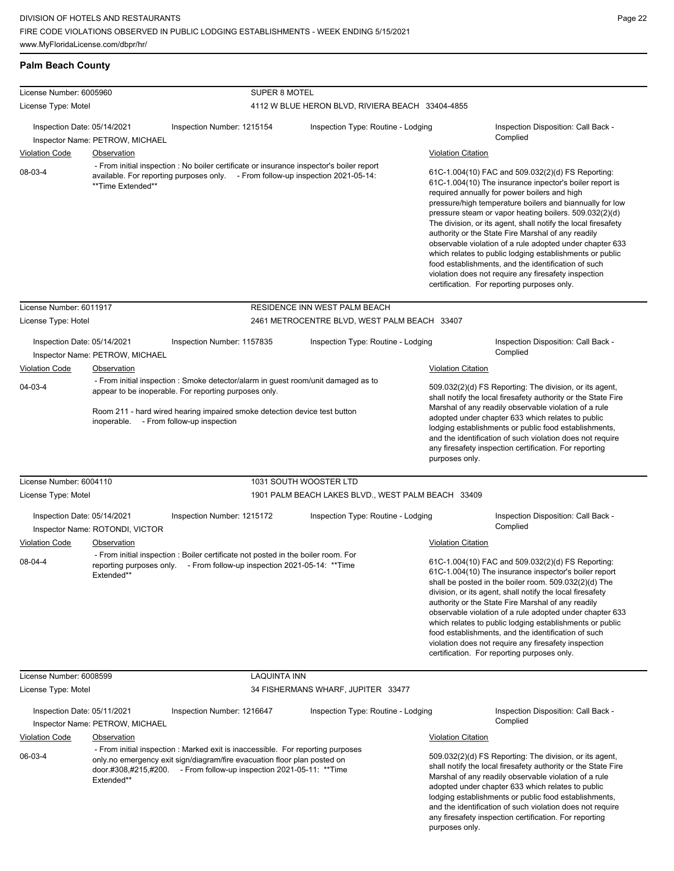## **Palm Beach County**

| License Number: 6005960<br>License Type: Motel |                                                                                                                                                                                                                                                  |                                                                                                                                                                                                                                                                    | SUPER 8 MOTEL<br>4112 W BLUE HERON BLVD, RIVIERA BEACH 33404-4855                                                                                                                                                                                                                                                                                                                                                                        |                                                                                                                                                                                                                                                                                                                                                                                                                                                                                                                                                                                                                                                                                                 |                                                                                                                                                                                                                                                                                                                                                                                                                                                                                                                                                                              |  |  |
|------------------------------------------------|--------------------------------------------------------------------------------------------------------------------------------------------------------------------------------------------------------------------------------------------------|--------------------------------------------------------------------------------------------------------------------------------------------------------------------------------------------------------------------------------------------------------------------|------------------------------------------------------------------------------------------------------------------------------------------------------------------------------------------------------------------------------------------------------------------------------------------------------------------------------------------------------------------------------------------------------------------------------------------|-------------------------------------------------------------------------------------------------------------------------------------------------------------------------------------------------------------------------------------------------------------------------------------------------------------------------------------------------------------------------------------------------------------------------------------------------------------------------------------------------------------------------------------------------------------------------------------------------------------------------------------------------------------------------------------------------|------------------------------------------------------------------------------------------------------------------------------------------------------------------------------------------------------------------------------------------------------------------------------------------------------------------------------------------------------------------------------------------------------------------------------------------------------------------------------------------------------------------------------------------------------------------------------|--|--|
| Inspection Date: 05/14/2021                    |                                                                                                                                                                                                                                                  | Inspection Number: 1215154                                                                                                                                                                                                                                         | Inspection Type: Routine - Lodging                                                                                                                                                                                                                                                                                                                                                                                                       |                                                                                                                                                                                                                                                                                                                                                                                                                                                                                                                                                                                                                                                                                                 | Inspection Disposition: Call Back -                                                                                                                                                                                                                                                                                                                                                                                                                                                                                                                                          |  |  |
| Inspector Name: PETROW, MICHAEL                |                                                                                                                                                                                                                                                  |                                                                                                                                                                                                                                                                    |                                                                                                                                                                                                                                                                                                                                                                                                                                          |                                                                                                                                                                                                                                                                                                                                                                                                                                                                                                                                                                                                                                                                                                 | Complied                                                                                                                                                                                                                                                                                                                                                                                                                                                                                                                                                                     |  |  |
| <b>Violation Code</b>                          | Observation                                                                                                                                                                                                                                      |                                                                                                                                                                                                                                                                    |                                                                                                                                                                                                                                                                                                                                                                                                                                          | <b>Violation Citation</b>                                                                                                                                                                                                                                                                                                                                                                                                                                                                                                                                                                                                                                                                       |                                                                                                                                                                                                                                                                                                                                                                                                                                                                                                                                                                              |  |  |
| 08-03-4<br>**Time Extended**                   |                                                                                                                                                                                                                                                  | - From initial inspection : No boiler certificate or insurance inspector's boiler report<br>available. For reporting purposes only. - From follow-up inspection 2021-05-14:                                                                                        |                                                                                                                                                                                                                                                                                                                                                                                                                                          | 61C-1.004(10) FAC and 509.032(2)(d) FS Reporting:<br>61C-1.004(10) The insurance inpector's boiler report is<br>required annually for power boilers and high<br>pressure/high temperature boilers and biannually for low<br>pressure steam or vapor heating boilers. 509.032(2)(d)<br>The division, or its agent, shall notify the local firesafety<br>authority or the State Fire Marshal of any readily<br>observable violation of a rule adopted under chapter 633<br>which relates to public lodging establishments or public<br>food establishments, and the identification of such<br>violation does not require any firesafety inspection<br>certification. For reporting purposes only. |                                                                                                                                                                                                                                                                                                                                                                                                                                                                                                                                                                              |  |  |
| License Number: 6011917                        |                                                                                                                                                                                                                                                  |                                                                                                                                                                                                                                                                    | RESIDENCE INN WEST PALM BEACH                                                                                                                                                                                                                                                                                                                                                                                                            |                                                                                                                                                                                                                                                                                                                                                                                                                                                                                                                                                                                                                                                                                                 |                                                                                                                                                                                                                                                                                                                                                                                                                                                                                                                                                                              |  |  |
| License Type: Hotel                            |                                                                                                                                                                                                                                                  |                                                                                                                                                                                                                                                                    | 2461 METROCENTRE BLVD, WEST PALM BEACH 33407                                                                                                                                                                                                                                                                                                                                                                                             |                                                                                                                                                                                                                                                                                                                                                                                                                                                                                                                                                                                                                                                                                                 |                                                                                                                                                                                                                                                                                                                                                                                                                                                                                                                                                                              |  |  |
| Inspection Date: 05/14/2021                    |                                                                                                                                                                                                                                                  | Inspection Number: 1157835                                                                                                                                                                                                                                         | Inspection Type: Routine - Lodging                                                                                                                                                                                                                                                                                                                                                                                                       |                                                                                                                                                                                                                                                                                                                                                                                                                                                                                                                                                                                                                                                                                                 | Inspection Disposition: Call Back -<br>Complied                                                                                                                                                                                                                                                                                                                                                                                                                                                                                                                              |  |  |
|                                                | Inspector Name: PETROW, MICHAEL                                                                                                                                                                                                                  |                                                                                                                                                                                                                                                                    |                                                                                                                                                                                                                                                                                                                                                                                                                                          |                                                                                                                                                                                                                                                                                                                                                                                                                                                                                                                                                                                                                                                                                                 |                                                                                                                                                                                                                                                                                                                                                                                                                                                                                                                                                                              |  |  |
| <b>Violation Code</b>                          | Observation                                                                                                                                                                                                                                      |                                                                                                                                                                                                                                                                    |                                                                                                                                                                                                                                                                                                                                                                                                                                          | <b>Violation Citation</b>                                                                                                                                                                                                                                                                                                                                                                                                                                                                                                                                                                                                                                                                       |                                                                                                                                                                                                                                                                                                                                                                                                                                                                                                                                                                              |  |  |
| 04-03-4                                        |                                                                                                                                                                                                                                                  | - From initial inspection : Smoke detector/alarm in guest room/unit damaged as to<br>appear to be inoperable. For reporting purposes only.<br>Room 211 - hard wired hearing impaired smoke detection device test button<br>inoperable. - From follow-up inspection |                                                                                                                                                                                                                                                                                                                                                                                                                                          | 509.032(2)(d) FS Reporting: The division, or its agent,<br>shall notify the local firesafety authority or the State Fire<br>Marshal of any readily observable violation of a rule<br>adopted under chapter 633 which relates to public<br>lodging establishments or public food establishments,<br>and the identification of such violation does not require<br>any firesafety inspection certification. For reporting<br>purposes only.                                                                                                                                                                                                                                                        |                                                                                                                                                                                                                                                                                                                                                                                                                                                                                                                                                                              |  |  |
| License Number: 6004110                        |                                                                                                                                                                                                                                                  |                                                                                                                                                                                                                                                                    | 1031 SOUTH WOOSTER LTD                                                                                                                                                                                                                                                                                                                                                                                                                   |                                                                                                                                                                                                                                                                                                                                                                                                                                                                                                                                                                                                                                                                                                 |                                                                                                                                                                                                                                                                                                                                                                                                                                                                                                                                                                              |  |  |
| License Type: Motel                            |                                                                                                                                                                                                                                                  |                                                                                                                                                                                                                                                                    | 1901 PALM BEACH LAKES BLVD., WEST PALM BEACH 33409                                                                                                                                                                                                                                                                                                                                                                                       |                                                                                                                                                                                                                                                                                                                                                                                                                                                                                                                                                                                                                                                                                                 |                                                                                                                                                                                                                                                                                                                                                                                                                                                                                                                                                                              |  |  |
| Inspection Date: 05/14/2021                    | Inspector Name: ROTONDI, VICTOR                                                                                                                                                                                                                  | Inspection Number: 1215172                                                                                                                                                                                                                                         | Inspection Type: Routine - Lodging                                                                                                                                                                                                                                                                                                                                                                                                       |                                                                                                                                                                                                                                                                                                                                                                                                                                                                                                                                                                                                                                                                                                 | Inspection Disposition: Call Back -<br>Complied                                                                                                                                                                                                                                                                                                                                                                                                                                                                                                                              |  |  |
| <b>Violation Code</b>                          | Observation                                                                                                                                                                                                                                      |                                                                                                                                                                                                                                                                    |                                                                                                                                                                                                                                                                                                                                                                                                                                          | <b>Violation Citation</b>                                                                                                                                                                                                                                                                                                                                                                                                                                                                                                                                                                                                                                                                       |                                                                                                                                                                                                                                                                                                                                                                                                                                                                                                                                                                              |  |  |
| 08-04-4                                        | Extended**                                                                                                                                                                                                                                       | - From initial inspection : Boiler certificate not posted in the boiler room. For<br>reporting purposes only. - From follow-up inspection 2021-05-14: **Time                                                                                                       |                                                                                                                                                                                                                                                                                                                                                                                                                                          |                                                                                                                                                                                                                                                                                                                                                                                                                                                                                                                                                                                                                                                                                                 | 61C-1.004(10) FAC and 509.032(2)(d) FS Reporting:<br>61C-1.004(10) The insurance inspector's boiler report<br>shall be posted in the boiler room. 509.032(2)(d) The<br>division, or its agent, shall notify the local firesafety<br>authority or the State Fire Marshal of any readily<br>observable violation of a rule adopted under chapter 633<br>which relates to public lodging establishments or public<br>food establishments, and the identification of such<br>violation does not require any firesafety inspection<br>certification. For reporting purposes only. |  |  |
| License Number: 6008599                        |                                                                                                                                                                                                                                                  | LAQUINTA INN                                                                                                                                                                                                                                                       |                                                                                                                                                                                                                                                                                                                                                                                                                                          |                                                                                                                                                                                                                                                                                                                                                                                                                                                                                                                                                                                                                                                                                                 |                                                                                                                                                                                                                                                                                                                                                                                                                                                                                                                                                                              |  |  |
| License Type: Motel                            |                                                                                                                                                                                                                                                  |                                                                                                                                                                                                                                                                    | 34 FISHERMANS WHARF, JUPITER 33477                                                                                                                                                                                                                                                                                                                                                                                                       |                                                                                                                                                                                                                                                                                                                                                                                                                                                                                                                                                                                                                                                                                                 |                                                                                                                                                                                                                                                                                                                                                                                                                                                                                                                                                                              |  |  |
| Inspection Date: 05/11/2021                    | Inspector Name: PETROW, MICHAEL                                                                                                                                                                                                                  | Inspection Number: 1216647                                                                                                                                                                                                                                         | Inspection Type: Routine - Lodging                                                                                                                                                                                                                                                                                                                                                                                                       |                                                                                                                                                                                                                                                                                                                                                                                                                                                                                                                                                                                                                                                                                                 | Inspection Disposition: Call Back -<br>Complied                                                                                                                                                                                                                                                                                                                                                                                                                                                                                                                              |  |  |
| <b>Violation Code</b>                          | <b>Observation</b>                                                                                                                                                                                                                               |                                                                                                                                                                                                                                                                    |                                                                                                                                                                                                                                                                                                                                                                                                                                          | <b>Violation Citation</b>                                                                                                                                                                                                                                                                                                                                                                                                                                                                                                                                                                                                                                                                       |                                                                                                                                                                                                                                                                                                                                                                                                                                                                                                                                                                              |  |  |
| 06-03-4                                        | - From initial inspection : Marked exit is inaccessible. For reporting purposes<br>only.no emergency exit sign/diagram/fire evacuation floor plan posted on<br>door.#308,#215,#200. - From follow-up inspection 2021-05-11: **Time<br>Extended** |                                                                                                                                                                                                                                                                    | 509.032(2)(d) FS Reporting: The division, or its agent,<br>shall notify the local firesafety authority or the State Fire<br>Marshal of any readily observable violation of a rule<br>adopted under chapter 633 which relates to public<br>lodging establishments or public food establishments,<br>and the identification of such violation does not require<br>any firesafety inspection certification. For reporting<br>purposes only. |                                                                                                                                                                                                                                                                                                                                                                                                                                                                                                                                                                                                                                                                                                 |                                                                                                                                                                                                                                                                                                                                                                                                                                                                                                                                                                              |  |  |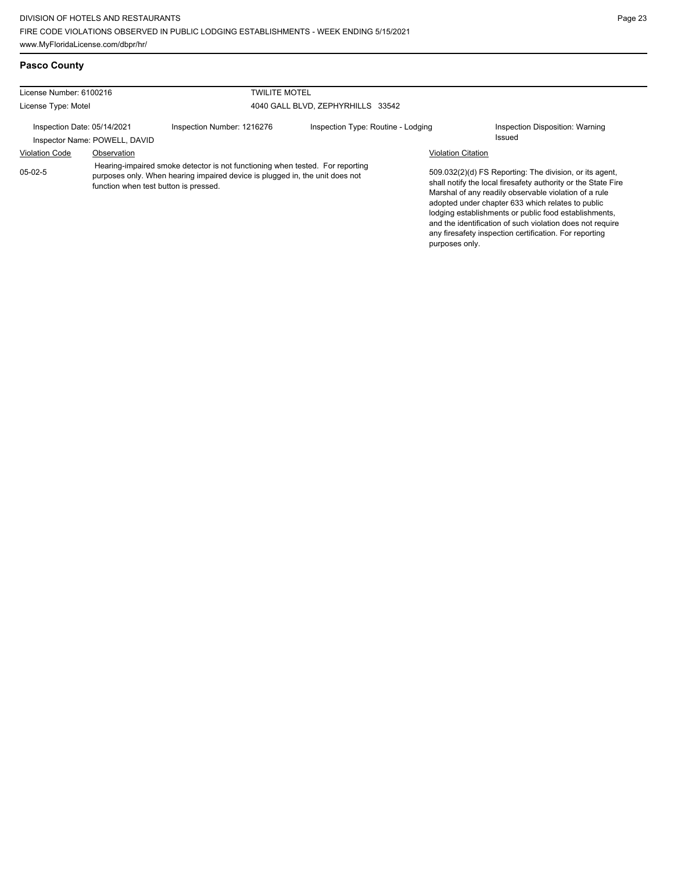any firesafety inspection certification. For reporting

| <b>Pasco County</b>           |                                                                                                                                                                                                        |                                   |                                    |                                                                                                                                                                                                                                                                                                                                                              |                                 |  |
|-------------------------------|--------------------------------------------------------------------------------------------------------------------------------------------------------------------------------------------------------|-----------------------------------|------------------------------------|--------------------------------------------------------------------------------------------------------------------------------------------------------------------------------------------------------------------------------------------------------------------------------------------------------------------------------------------------------------|---------------------------------|--|
| License Number: 6100216       |                                                                                                                                                                                                        | <b>TWILITE MOTEL</b>              |                                    |                                                                                                                                                                                                                                                                                                                                                              |                                 |  |
| License Type: Motel           |                                                                                                                                                                                                        | 4040 GALL BLVD. ZEPHYRHILLS 33542 |                                    |                                                                                                                                                                                                                                                                                                                                                              |                                 |  |
| Inspection Date: 05/14/2021   |                                                                                                                                                                                                        | Inspection Number: 1216276        | Inspection Type: Routine - Lodging |                                                                                                                                                                                                                                                                                                                                                              | Inspection Disposition: Warning |  |
| Inspector Name: POWELL, DAVID |                                                                                                                                                                                                        |                                   |                                    |                                                                                                                                                                                                                                                                                                                                                              | Issued                          |  |
| <b>Violation Code</b>         | Observation                                                                                                                                                                                            |                                   |                                    | <b>Violation Citation</b>                                                                                                                                                                                                                                                                                                                                    |                                 |  |
| $05-02-5$                     | Hearing-impaired smoke detector is not functioning when tested. For reporting<br>purposes only. When hearing impaired device is plugged in, the unit does not<br>function when test button is pressed. |                                   |                                    | 509.032(2)(d) FS Reporting: The division, or its agent.<br>shall notify the local firesafety authority or the State Fire<br>Marshal of any readily observable violation of a rule<br>adopted under chapter 633 which relates to public<br>lodging establishments or public food establishments,<br>and the identification of such violation does not require |                                 |  |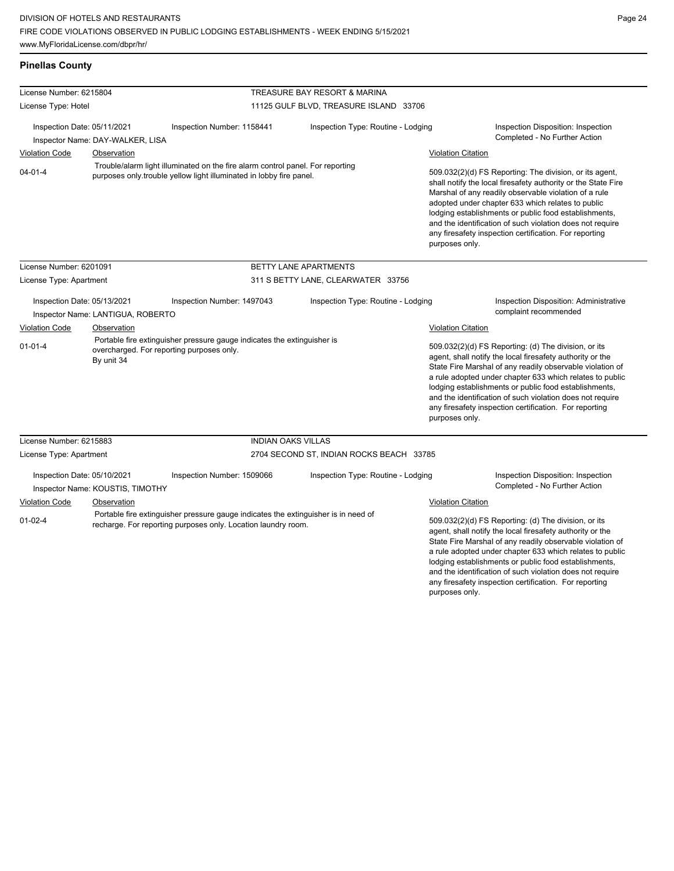**Pinellas County**

any firesafety inspection certification. For reporting

| License Number: 6215804                                         |                                                                                                                                    |                                                                                                                                                       | TREASURE BAY RESORT & MARINA                                                                                                                                                                                                                                                                                                                                                                                                             |                           |                                                                                                                                                                                                                                                                                                                                                                                                                                              |  |  |
|-----------------------------------------------------------------|------------------------------------------------------------------------------------------------------------------------------------|-------------------------------------------------------------------------------------------------------------------------------------------------------|------------------------------------------------------------------------------------------------------------------------------------------------------------------------------------------------------------------------------------------------------------------------------------------------------------------------------------------------------------------------------------------------------------------------------------------|---------------------------|----------------------------------------------------------------------------------------------------------------------------------------------------------------------------------------------------------------------------------------------------------------------------------------------------------------------------------------------------------------------------------------------------------------------------------------------|--|--|
| License Type: Hotel                                             |                                                                                                                                    |                                                                                                                                                       | 11125 GULF BLVD, TREASURE ISLAND 33706                                                                                                                                                                                                                                                                                                                                                                                                   |                           |                                                                                                                                                                                                                                                                                                                                                                                                                                              |  |  |
| Inspection Date: 05/11/2021<br>Inspector Name: DAY-WALKER, LISA |                                                                                                                                    | Inspection Number: 1158441                                                                                                                            | Inspection Type: Routine - Lodging                                                                                                                                                                                                                                                                                                                                                                                                       |                           | Inspection Disposition: Inspection<br>Completed - No Further Action                                                                                                                                                                                                                                                                                                                                                                          |  |  |
| <b>Violation Code</b>                                           | Observation                                                                                                                        |                                                                                                                                                       |                                                                                                                                                                                                                                                                                                                                                                                                                                          |                           | <b>Violation Citation</b>                                                                                                                                                                                                                                                                                                                                                                                                                    |  |  |
| $04 - 01 - 4$                                                   |                                                                                                                                    | Trouble/alarm light illuminated on the fire alarm control panel. For reporting<br>purposes only trouble yellow light illuminated in lobby fire panel. | 509.032(2)(d) FS Reporting: The division, or its agent,<br>shall notify the local firesafety authority or the State Fire<br>Marshal of any readily observable violation of a rule<br>adopted under chapter 633 which relates to public<br>lodging establishments or public food establishments,<br>and the identification of such violation does not require<br>any firesafety inspection certification. For reporting<br>purposes only. |                           |                                                                                                                                                                                                                                                                                                                                                                                                                                              |  |  |
| License Number: 6201091                                         |                                                                                                                                    |                                                                                                                                                       | BETTY LANE APARTMENTS                                                                                                                                                                                                                                                                                                                                                                                                                    |                           |                                                                                                                                                                                                                                                                                                                                                                                                                                              |  |  |
| License Type: Apartment                                         |                                                                                                                                    |                                                                                                                                                       | 311 S BETTY LANE, CLEARWATER 33756                                                                                                                                                                                                                                                                                                                                                                                                       |                           |                                                                                                                                                                                                                                                                                                                                                                                                                                              |  |  |
| Inspection Date: 05/13/2021                                     | Inspector Name: LANTIGUA, ROBERTO                                                                                                  | Inspection Number: 1497043                                                                                                                            | Inspection Type: Routine - Lodging                                                                                                                                                                                                                                                                                                                                                                                                       |                           | <b>Inspection Disposition: Administrative</b><br>complaint recommended                                                                                                                                                                                                                                                                                                                                                                       |  |  |
| <b>Violation Code</b>                                           | Observation                                                                                                                        |                                                                                                                                                       |                                                                                                                                                                                                                                                                                                                                                                                                                                          | <b>Violation Citation</b> |                                                                                                                                                                                                                                                                                                                                                                                                                                              |  |  |
| $01 - 01 - 4$                                                   | Portable fire extinguisher pressure gauge indicates the extinguisher is<br>overcharged. For reporting purposes only.<br>By unit 34 |                                                                                                                                                       |                                                                                                                                                                                                                                                                                                                                                                                                                                          |                           | 509.032(2)(d) FS Reporting: (d) The division, or its<br>agent, shall notify the local firesafety authority or the<br>State Fire Marshal of any readily observable violation of<br>a rule adopted under chapter 633 which relates to public<br>lodging establishments or public food establishments,<br>and the identification of such violation does not require<br>any firesafety inspection certification. For reporting<br>purposes only. |  |  |
| License Number: 6215883                                         |                                                                                                                                    | <b>INDIAN OAKS VILLAS</b>                                                                                                                             |                                                                                                                                                                                                                                                                                                                                                                                                                                          |                           |                                                                                                                                                                                                                                                                                                                                                                                                                                              |  |  |
| License Type: Apartment                                         |                                                                                                                                    |                                                                                                                                                       | 2704 SECOND ST, INDIAN ROCKS BEACH 33785                                                                                                                                                                                                                                                                                                                                                                                                 |                           |                                                                                                                                                                                                                                                                                                                                                                                                                                              |  |  |
| Inspection Date: 05/10/2021                                     | Inspector Name: KOUSTIS, TIMOTHY                                                                                                   | Inspection Number: 1509066                                                                                                                            | Inspection Type: Routine - Lodging                                                                                                                                                                                                                                                                                                                                                                                                       |                           | Inspection Disposition: Inspection<br>Completed - No Further Action                                                                                                                                                                                                                                                                                                                                                                          |  |  |
| <b>Violation Code</b>                                           | Observation                                                                                                                        |                                                                                                                                                       |                                                                                                                                                                                                                                                                                                                                                                                                                                          | <b>Violation Citation</b> |                                                                                                                                                                                                                                                                                                                                                                                                                                              |  |  |
| $01-02-4$                                                       |                                                                                                                                    | recharge. For reporting purposes only. Location laundry room.                                                                                         | Portable fire extinguisher pressure gauge indicates the extinguisher is in need of                                                                                                                                                                                                                                                                                                                                                       |                           | 509.032(2)(d) FS Reporting: (d) The division, or its<br>agent, shall notify the local firesafety authority or the<br>State Fire Marshal of any readily observable violation of<br>a rule adopted under chapter 633 which relates to public<br>lodging establishments or public food establishments,<br>and the identification of such violation does not require                                                                             |  |  |